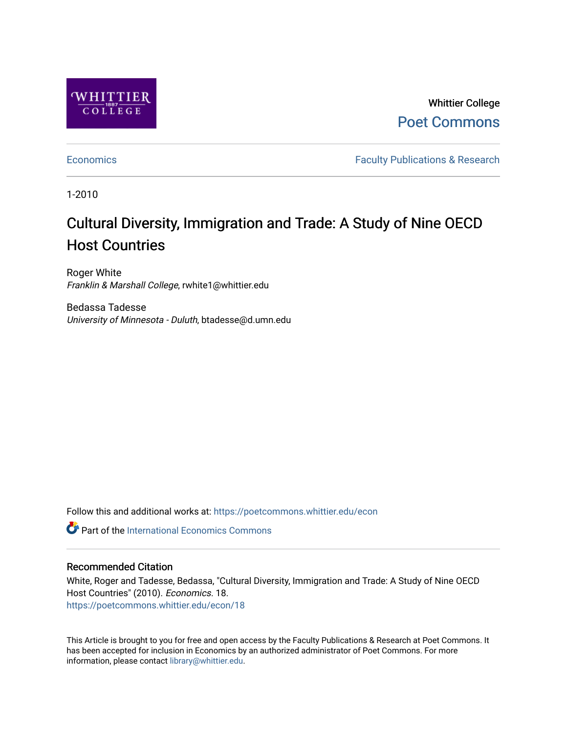

Whittier College [Poet Commons](https://poetcommons.whittier.edu/) 

[Economics](https://poetcommons.whittier.edu/econ) **Faculty Publications & Research** 

1-2010

# Cultural Diversity, Immigration and Trade: A Study of Nine OECD Host Countries

Roger White Franklin & Marshall College, rwhite1@whittier.edu

Bedassa Tadesse University of Minnesota - Duluth, btadesse@d.umn.edu

Follow this and additional works at: [https://poetcommons.whittier.edu/econ](https://poetcommons.whittier.edu/econ?utm_source=poetcommons.whittier.edu%2Fecon%2F18&utm_medium=PDF&utm_campaign=PDFCoverPages)

**C** Part of the International Economics Commons

#### Recommended Citation

White, Roger and Tadesse, Bedassa, "Cultural Diversity, Immigration and Trade: A Study of Nine OECD Host Countries" (2010). Economics. 18. [https://poetcommons.whittier.edu/econ/18](https://poetcommons.whittier.edu/econ/18?utm_source=poetcommons.whittier.edu%2Fecon%2F18&utm_medium=PDF&utm_campaign=PDFCoverPages) 

This Article is brought to you for free and open access by the Faculty Publications & Research at Poet Commons. It has been accepted for inclusion in Economics by an authorized administrator of Poet Commons. For more information, please contact [library@whittier.edu.](mailto:library@whittier.edu)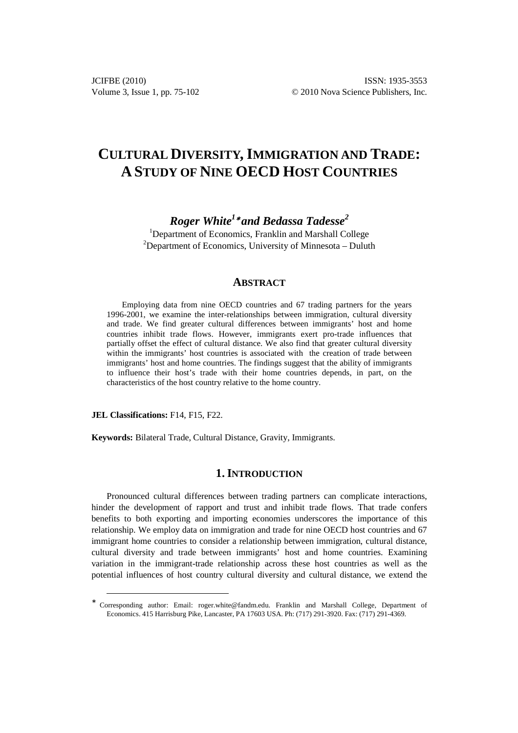## **CULTURAL DIVERSITY, IMMIGRATION AND TRADE: A STUDY OF NINE OECD HOST COUNTRIES**

*Roger White<sup>1</sup>*<sup>∗</sup>  *and Bedassa Tadesse<sup>2</sup>*

<sup>1</sup>Department of Economics, Franklin and Marshall College <sup>2</sup>Department of Economics, University of Minnesota – Duluth

#### **ABSTRACT**

Employing data from nine OECD countries and 67 trading partners for the years 1996-2001, we examine the inter-relationships between immigration, cultural diversity and trade. We find greater cultural differences between immigrants' host and home countries inhibit trade flows. However, immigrants exert pro-trade influences that partially offset the effect of cultural distance. We also find that greater cultural diversity within the immigrants' host countries is associated with the creation of trade between immigrants' host and home countries. The findings suggest that the ability of immigrants to influence their host's trade with their home countries depends, in part, on the characteristics of the host country relative to the home country.

**JEL Classifications:** F14, F15, F22.

 $\overline{a}$ 

**Keywords:** Bilateral Trade, Cultural Distance, Gravity, Immigrants.

#### **1. INTRODUCTION**

Pronounced cultural differences between trading partners can complicate interactions, hinder the development of rapport and trust and inhibit trade flows. That trade confers benefits to both exporting and importing economies underscores the importance of this relationship. We employ data on immigration and trade for nine OECD host countries and 67 immigrant home countries to consider a relationship between immigration, cultural distance, cultural diversity and trade between immigrants' host and home countries. Examining variation in the immigrant-trade relationship across these host countries as well as the potential influences of host country cultural diversity and cultural distance, we extend the

<sup>∗</sup> Corresponding author: Email: roger.white@fandm.edu. Franklin and Marshall College, Department of Economics. 415 Harrisburg Pike, Lancaster, PA 17603 USA. Ph: (717) 291-3920. Fax: (717) 291-4369.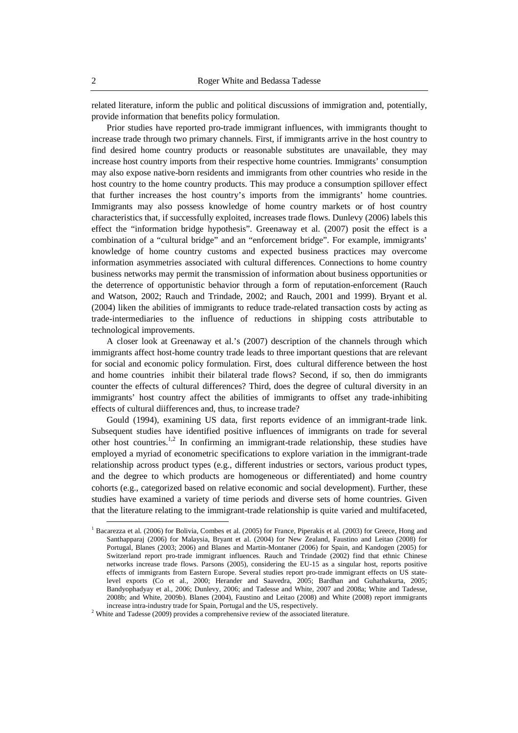related literature, inform the public and political discussions of immigration and, potentially, provide information that benefits policy formulation.

Prior studies have reported pro-trade immigrant influences, with immigrants thought to increase trade through two primary channels. First, if immigrants arrive in the host country to find desired home country products or reasonable substitutes are unavailable, they may increase host country imports from their respective home countries. Immigrants' consumption may also expose native-born residents and immigrants from other countries who reside in the host country to the home country products. This may produce a consumption spillover effect that further increases the host country's imports from the immigrants' home countries. Immigrants may also possess knowledge of home country markets or of host country characteristics that, if successfully exploited, increases trade flows. Dunlevy (2006) labels this effect the "information bridge hypothesis". Greenaway et al. (2007) posit the effect is a combination of a "cultural bridge" and an "enforcement bridge". For example, immigrants' knowledge of home country customs and expected business practices may overcome information asymmetries associated with cultural differences. Connections to home country business networks may permit the transmission of information about business opportunities or the deterrence of opportunistic behavior through a form of reputation-enforcement (Rauch and Watson, 2002; Rauch and Trindade, 2002; and Rauch, 2001 and 1999). Bryant et al. (2004) liken the abilities of immigrants to reduce trade-related transaction costs by acting as trade-intermediaries to the influence of reductions in shipping costs attributable to technological improvements.

A closer look at Greenaway et al.'s (2007) description of the channels through which immigrants affect host-home country trade leads to three important questions that are relevant for social and economic policy formulation. First, does cultural difference between the host and home countries inhibit their bilateral trade flows? Second, if so, then do immigrants counter the effects of cultural differences? Third, does the degree of cultural diversity in an immigrants' host country affect the abilities of immigrants to offset any trade-inhibiting effects of cultural diifferences and, thus, to increase trade?

Gould (1994), examining US data, first reports evidence of an immigrant-trade link. Subsequent studies have identified positive influences of immigrants on trade for several other host countries.<sup>1,2</sup> In confirming an immigrant-trade relationship, these studies have employed a myriad of econometric specifications to explore variation in the immigrant-trade relationship across product types (e.g., different industries or sectors, various product types, and the degree to which products are homogeneous or differentiated) and home country cohorts (e.g., categorized based on relative economic and social development). Further, these studies have examined a variety of time periods and diverse sets of home countries. Given that the literature relating to the immigrant-trade relationship is quite varied and multifaceted,

<sup>&</sup>lt;sup>1</sup> Bacarezza et al. (2006) for Bolivia, Combes et al. (2005) for France, Piperakis et al. (2003) for Greece, Hong and Santhapparaj (2006) for Malaysia, Bryant et al. (2004) for New Zealand, Faustino and Leitao (2008) for Portugal, Blanes (2003; 2006) and Blanes and Martin-Montaner (2006) for Spain, and Kandogen (2005) for Switzerland report pro-trade immigrant influences. Rauch and Trindade (2002) find that ethnic Chinese networks increase trade flows. Parsons (2005), considering the EU-15 as a singular host, reports positive effects of immigrants from Eastern Europe. Several studies report pro-trade immigrant effects on US statelevel exports (Co et al., 2000; Herander and Saavedra, 2005; Bardhan and Guhathakurta, 2005; Bandyophadyay et al., 2006; Dunlevy, 2006; and Tadesse and White, 2007 and 2008a; White and Tadesse, 2008b; and White, 2009b). Blanes (2004), Faustino and Leitao (2008) and White (2008) report immigrants increase intra-industry trade for Spain, Portugal and the US, respectively.

 $2$  White and Tadesse (2009) provides a comprehensive review of the associated literature.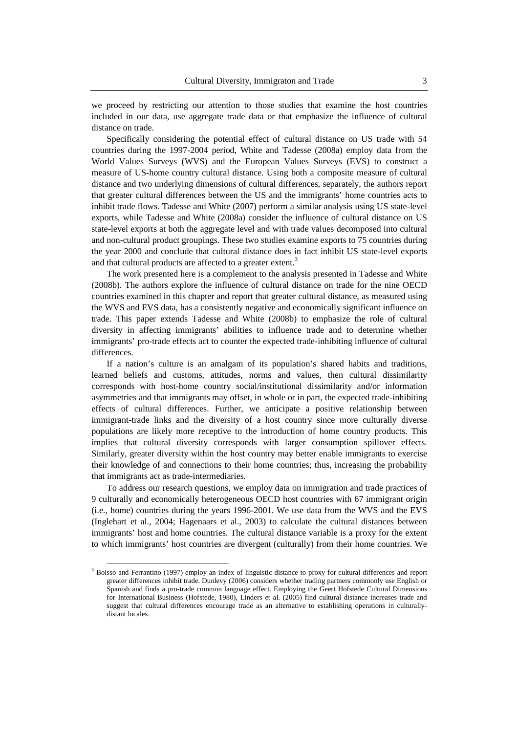we proceed by restricting our attention to those studies that examine the host countries included in our data, use aggregate trade data or that emphasize the influence of cultural distance on trade.

Specifically considering the potential effect of cultural distance on US trade with 54 countries during the 1997-2004 period, White and Tadesse (2008a) employ data from the World Values Surveys (WVS) and the European Values Surveys (EVS) to construct a measure of US-home country cultural distance. Using both a composite measure of cultural distance and two underlying dimensions of cultural differences, separately, the authors report that greater cultural differences between the US and the immigrants' home countries acts to inhibit trade flows. Tadesse and White (2007) perform a similar analysis using US state-level exports, while Tadesse and White (2008a) consider the influence of cultural distance on US state-level exports at both the aggregate level and with trade values decomposed into cultural and non-cultural product groupings. These two studies examine exports to 75 countries during the year 2000 and conclude that cultural distance does in fact inhibit US state-level exports and that cultural products are affected to a greater extent.<sup>3</sup>

The work presented here is a complement to the analysis presented in Tadesse and White (2008b). The authors explore the influence of cultural distance on trade for the nine OECD countries examined in this chapter and report that greater cultural distance, as measured using the WVS and EVS data, has a consistently negative and economically significant influence on trade. This paper extends Tadesse and White (2008b) to emphasize the role of cultural diversity in affecting immigrants' abilities to influence trade and to determine whether immigrants' pro-trade effects act to counter the expected trade-inhibiting influence of cultural differences.

If a nation's culture is an amalgam of its population's shared habits and traditions, learned beliefs and customs, attitudes, norms and values, then cultural dissimilarity corresponds with host-home country social/institutional dissimilarity and/or information asymmetries and that immigrants may offset, in whole or in part, the expected trade-inhibiting effects of cultural differences. Further, we anticipate a positive relationship between immigrant-trade links and the diversity of a host country since more culturally diverse populations are likely more receptive to the introduction of home country products. This implies that cultural diversity corresponds with larger consumption spillover effects. Similarly, greater diversity within the host country may better enable immigrants to exercise their knowledge of and connections to their home countries; thus, increasing the probability that immigrants act as trade-intermediaries.

To address our research questions, we employ data on immigration and trade practices of 9 culturally and economically heterogeneous OECD host countries with 67 immigrant origin (i.e., home) countries during the years 1996-2001. We use data from the WVS and the EVS (Inglehart et al., 2004; Hagenaars et al., 2003) to calculate the cultural distances between immigrants' host and home countries. The cultural distance variable is a proxy for the extent to which immigrants' host countries are divergent (culturally) from their home countries. We

<sup>&</sup>lt;sup>3</sup> Boisso and Ferrantino (1997) employ an index of linguistic distance to proxy for cultural differences and report greater differences inhibit trade. Dunlevy (2006) considers whether trading partners commonly use English or Spanish and finds a pro-trade common language effect. Employing the Geert Hofstede Cultural Dimensions for International Business (Hofstede, 1980), Linders et al. (2005) find cultural distance increases trade and suggest that cultural differences encourage trade as an alternative to establishing operations in culturallydistant locales.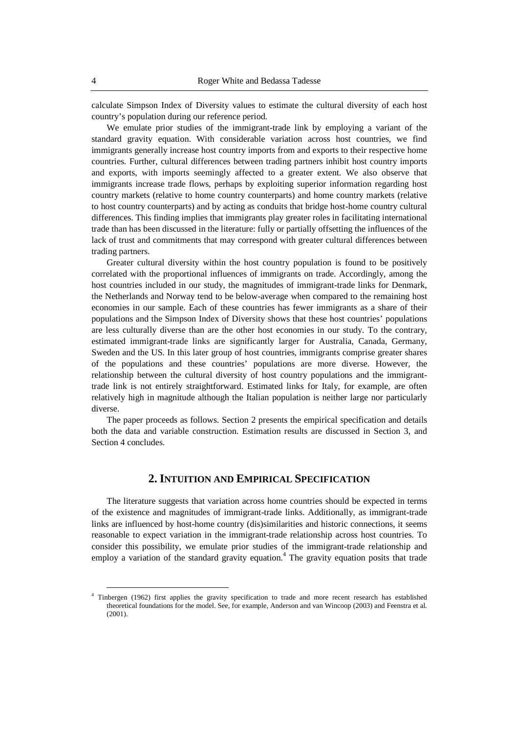calculate Simpson Index of Diversity values to estimate the cultural diversity of each host country's population during our reference period.

We emulate prior studies of the immigrant-trade link by employing a variant of the standard gravity equation. With considerable variation across host countries, we find immigrants generally increase host country imports from and exports to their respective home countries. Further, cultural differences between trading partners inhibit host country imports and exports, with imports seemingly affected to a greater extent. We also observe that immigrants increase trade flows, perhaps by exploiting superior information regarding host country markets (relative to home country counterparts) and home country markets (relative to host country counterparts) and by acting as conduits that bridge host-home country cultural differences. This finding implies that immigrants play greater roles in facilitating international trade than has been discussed in the literature: fully or partially offsetting the influences of the lack of trust and commitments that may correspond with greater cultural differences between trading partners.

Greater cultural diversity within the host country population is found to be positively correlated with the proportional influences of immigrants on trade. Accordingly, among the host countries included in our study, the magnitudes of immigrant-trade links for Denmark, the Netherlands and Norway tend to be below-average when compared to the remaining host economies in our sample. Each of these countries has fewer immigrants as a share of their populations and the Simpson Index of Diversity shows that these host countries' populations are less culturally diverse than are the other host economies in our study. To the contrary, estimated immigrant-trade links are significantly larger for Australia, Canada, Germany, Sweden and the US. In this later group of host countries, immigrants comprise greater shares of the populations and these countries' populations are more diverse. However, the relationship between the cultural diversity of host country populations and the immigranttrade link is not entirely straightforward. Estimated links for Italy, for example, are often relatively high in magnitude although the Italian population is neither large nor particularly diverse.

The paper proceeds as follows. Section 2 presents the empirical specification and details both the data and variable construction. Estimation results are discussed in Section 3, and Section 4 concludes.

#### **2. INTUITION AND EMPIRICAL SPECIFICATION**

The literature suggests that variation across home countries should be expected in terms of the existence and magnitudes of immigrant-trade links. Additionally, as immigrant-trade links are influenced by host-home country (dis)similarities and historic connections, it seems reasonable to expect variation in the immigrant-trade relationship across host countries. To consider this possibility, we emulate prior studies of the immigrant-trade relationship and employ a variation of the standard gravity equation.<sup>4</sup> The gravity equation posits that trade

<sup>4</sup> Tinbergen (1962) first applies the gravity specification to trade and more recent research has established theoretical foundations for the model. See, for example, Anderson and van Wincoop (2003) and Feenstra et al.  $(2001)$ .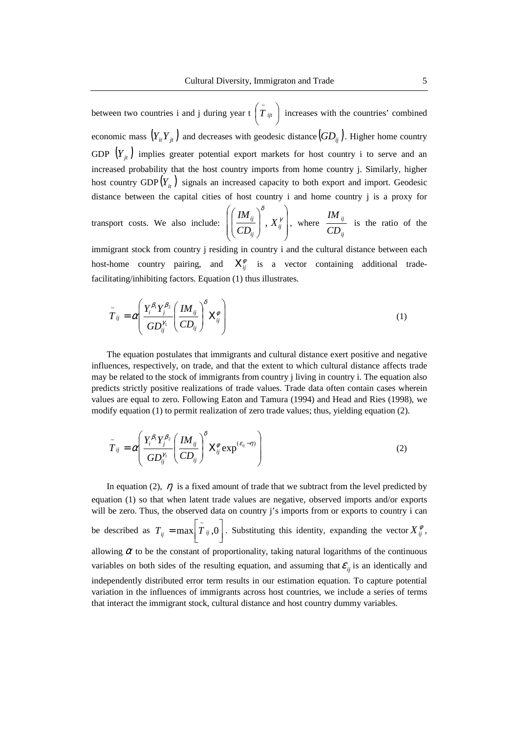between two countries i and j during year t  $|T_{ijt}|$  increases with the countries' combined economic mass  $(Y_i, Y_j, Y_j)$  and decreases with geodesic distance  $\left(GD_{ij}\right)$ . Higher home country GDP  $(Y_{jt})$  implies greater potential export markets for host country i to serve and an increased probability that the host country imports from home country j. Similarly, higher host country  $GDP(Y_{it})$  signals an increased capacity to both export and import. Geodesic distance between the capital cities of host country i and home country j is a proxy for J  $\left( \tilde{\hat{ \boldsymbol{T}}}_{i j t}\ \right)$ l  $\left( \tilde{\tilde{{T}}}_{\textit{ijt}} \right)$ 

transport costs. We also include: 
$$
\left( \left( \frac{IM_{ij}}{CD_{ij}} \right)^{\delta}, X_{ij}^{\gamma} \right)
$$
, where  $\frac{IM_{ij}}{CD_{ij}}$  is the ratio of the

immigrant stock from country j residing in country i and the cultural distance between each host-home country pairing, and  $X_{ij}^{\phi}$  is a vector containing additional tradefacilitating/inhibiting factors. Equation (1) thus illustrates.

$$
\tilde{T}_{ij} = \alpha \left( \frac{Y_i^{\beta_1} Y_j^{\beta_2}}{G D_{ij}^{\gamma_1}} \left( \frac{I M_{ij}}{C D_{ij}} \right)^{\delta} X_{ij}^{\phi} \right)
$$
\n(1)

The equation postulates that immigrants and cultural distance exert positive and negative influences, respectively, on trade, and that the extent to which cultural distance affects trade may be related to the stock of immigrants from country j living in country i. The equation also predicts strictly positive realizations of trade values. Trade data often contain cases wherein values are equal to zero. Following Eaton and Tamura (1994) and Head and Ries (1998), we modify equation (1) to permit realization of zero trade values; thus, yielding equation (2).

$$
\tilde{T}_{ij} = \alpha \left( \frac{Y_i^{\beta_1} Y_j^{\beta_2}}{GD_{ij}^{\gamma_1}} \left( \frac{IM_{ij}}{CD_{ij}} \right)^{\delta} X_{ij}^{\phi} \exp^{(\varepsilon_{ij} - \eta)} \right)
$$
(2)

In equation (2),  $\eta$  is a fixed amount of trade that we subtract from the level predicted by equation (1) so that when latent trade values are negative, observed imports and/or exports will be zero. Thus, the observed data on country j's imports from or exports to country i can be described as  $T_{ij} = \max[T_{ij}, 0]$ . Substituting this identity, expanding the vector  $X_{ij}^{\varphi}$ , allowing  $\alpha$  to be the constant of proportionality, taking natural logarithms of the continuous variables on both sides of the resulting equation, and assuming that  $\varepsilon_{ij}$  is an identically and independently distributed error term results in our estimation equation. To capture potential variation in the influences of immigrants across host countries, we include a series of terms that interact the immigrant stock, cultural distance and host country dummy variables. ٦ L  $T_{ij} = \max \left[ \tilde{T}_{ij}, 0 \right]$ . Substituting this identity, expanding the vector  $X_{ij}^{\phi}$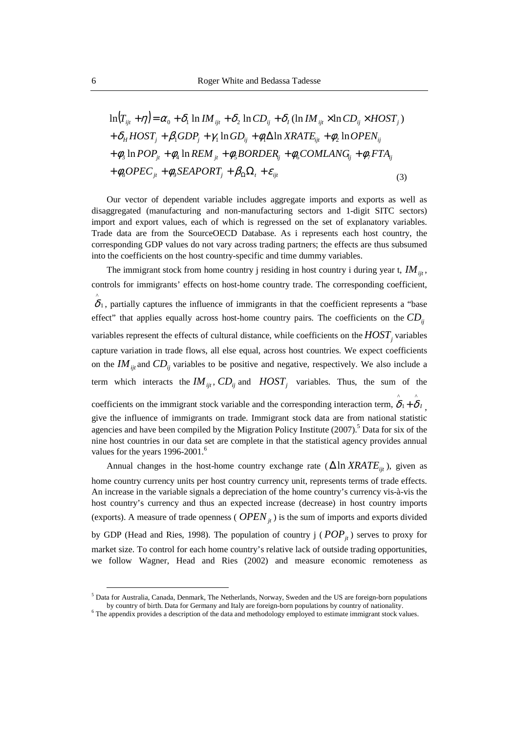$$
\ln(T_{ijt} + \eta) = \alpha_0 + \delta_1 \ln IM_{ijt} + \delta_2 \ln CD_{ij} + \delta_1 (\ln IM_{ijt} \times \ln CD_{ij} \times HOST_j)
$$
  
+  $\delta_H HOST_j + \beta_1 GDP_j + \gamma_1 \ln GD_{ij} + \phi_1 \Delta \ln XRATE_{ijt} + \phi_2 \ln OPEN_{ij}$   
+  $\phi_3 \ln POP_{ji} + \phi_4 \ln REM_{ji} + \phi_5 BORDER_{ij} + \phi_6 COMLANDG_{ij} + \phi_7 FA_{ij}$   
+  $\phi_8 OPEC_{ji} + \phi_9 SEAPORT_j + \beta_0 \Omega_t + \varepsilon_{ijt}$  (3)

Our vector of dependent variable includes aggregate imports and exports as well as disaggregated (manufacturing and non-manufacturing sectors and 1-digit SITC sectors) import and export values, each of which is regressed on the set of explanatory variables. Trade data are from the SourceOECD Database. As i represents each host country, the corresponding GDP values do not vary across trading partners; the effects are thus subsumed into the coefficients on the host country-specific and time dummy variables.

The immigrant stock from home country j residing in host country i during year t,  $IM_{ijt}$ , controls for immigrants' effects on host-home country trade. The corresponding coefficient, , partially captures the influence of immigrants in that the coefficient represents a "base 1 effect" that applies equally across host-home country pairs. The coefficients on the *CDij* variables represent the effects of cultural distance, while coefficients on the  $HOST_j$  variables capture variation in trade flows, all else equal, across host countries. We expect coefficients on the  $IM_{ijt}$  and  $CD_{ij}$  variables to be positive and negative, respectively. We also include a term which interacts the  $IM_{ijt}$ ,  $CD_{ij}$  and  $HOST_j$  variables. Thus, the sum of the  $\hat{\delta}$ 

coefficients on the immigrant stock variable and the corresponding interaction term,  $\delta_1 + \delta_1$ , give the influence of immigrants on trade. Immigrant stock data are from national statistic agencies and have been compiled by the Migration Policy Institute (2007).<sup>5</sup> Data for six of the nine host countries in our data set are complete in that the statistical agency provides annual values for the years  $1996-2001$ .<sup>6</sup> ^ 1  $\overset{\wedge}{\delta}_1 + \overset{\wedge}{\delta}$ 

Annual changes in the host-home country exchange rate ( $\Delta \ln XRATE_{ijt}$ ), given as home country currency units per host country currency unit, represents terms of trade effects. An increase in the variable signals a depreciation of the home country's currency vis-à-vis the host country's currency and thus an expected increase (decrease) in host country imports (exports). A measure of trade openness ( $OPEN_{jt}$ ) is the sum of imports and exports divided by GDP (Head and Ries, 1998). The population of country  $j (POP_{jt})$  serves to proxy for market size. To control for each home country's relative lack of outside trading opportunities, we follow Wagner, Head and Ries (2002) and measure economic remoteness as

<sup>&</sup>lt;sup>5</sup> Data for Australia, Canada, Denmark, The Netherlands, Norway, Sweden and the US are foreign-born populations by country of birth. Data for Germany and Italy are foreign-born populations by country of nationality.

<sup>6</sup> The appendix provides a description of the data and methodology employed to estimate immigrant stock values.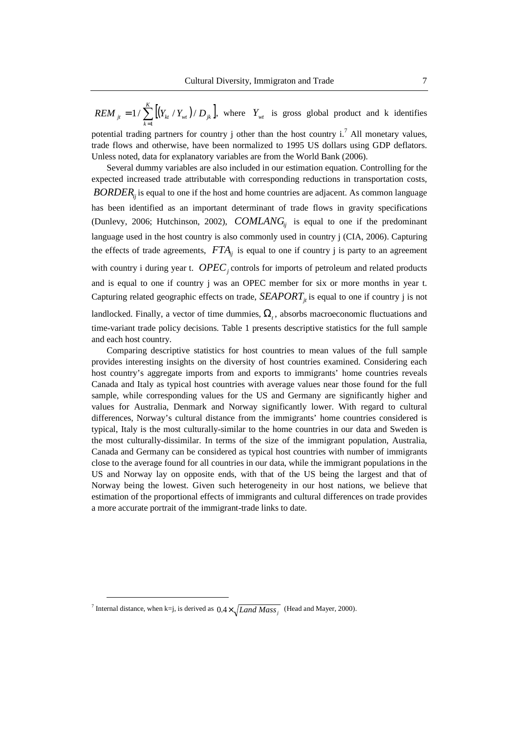$\sum_{i=1}^{k} [(Y_{k} / Y_{i} / I_{i}) / D_{jk}]$ , where  $Y_{i}$  is gross global product and k identifies =  $=1/\sum_{k=1}^{K}$ *k*  $REM_{j_t} = 1 / \sum \left[ (Y_{_{kt}} / Y_{_{wt}}) / D_{_{jk}} \right]$ 1  $1 / \sum_{k} \left[ (Y_{kt} / Y_{wt}) / D_{jk} \right]$ , where  $Y_{wt}$ 

potential trading partners for country j other than the host country  $i^7$ . All monetary values, trade flows and otherwise, have been normalized to 1995 US dollars using GDP deflators. Unless noted, data for explanatory variables are from the World Bank (2006).

Several dummy variables are also included in our estimation equation. Controlling for the expected increased trade attributable with corresponding reductions in transportation costs, BORDER<sub>*ij*</sub> is equal to one if the host and home countries are adjacent. As common language has been identified as an important determinant of trade flows in gravity specifications (Dunlevy, 2006; Hutchinson, 2002),  $COMLANG<sub>ij</sub>$  is equal to one if the predominant language used in the host country is also commonly used in country j (CIA, 2006). Capturing the effects of trade agreements,  $FTA_{ij}$  is equal to one if country j is party to an agreement with country i during year t.  $OPEC<sub>j</sub>$  controls for imports of petroleum and related products and is equal to one if country j was an OPEC member for six or more months in year t. Capturing related geographic effects on trade,  $SEAPORT_{ji}$  is equal to one if country j is not

landlocked. Finally, a vector of time dummies,  $\Omega_t$ , absorbs macroeconomic fluctuations and time-variant trade policy decisions. Table 1 presents descriptive statistics for the full sample and each host country.

Comparing descriptive statistics for host countries to mean values of the full sample provides interesting insights on the diversity of host countries examined. Considering each host country's aggregate imports from and exports to immigrants' home countries reveals Canada and Italy as typical host countries with average values near those found for the full sample, while corresponding values for the US and Germany are significantly higher and values for Australia, Denmark and Norway significantly lower. With regard to cultural differences, Norway's cultural distance from the immigrants' home countries considered is typical, Italy is the most culturally-similar to the home countries in our data and Sweden is the most culturally-dissimilar. In terms of the size of the immigrant population, Australia, Canada and Germany can be considered as typical host countries with number of immigrants close to the average found for all countries in our data, while the immigrant populations in the US and Norway lay on opposite ends, with that of the US being the largest and that of Norway being the lowest. Given such heterogeneity in our host nations, we believe that estimation of the proportional effects of immigrants and cultural differences on trade provides a more accurate portrait of the immigrant-trade links to date.

<sup>&</sup>lt;sup>7</sup> Internal distance, when k=j, is derived as  $0.4 \times \sqrt{Land \, Mass_j}$  (Head and Mayer, 2000).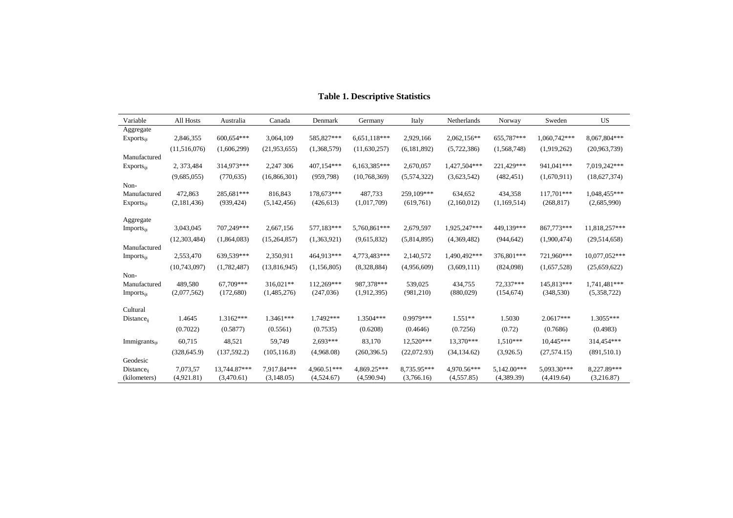| Variable                      | All Hosts      | Australia    | Canada         | Denmark     | Germany      | Italy         | Netherlands  | Norway      | Sweden       | US            |
|-------------------------------|----------------|--------------|----------------|-------------|--------------|---------------|--------------|-------------|--------------|---------------|
| Aggregate                     |                |              |                |             |              |               |              |             |              |               |
| $Exports_{ijt}$               | 2,846,355      | 600,654***   | 3,064,109      | 585,827***  | 6,651,118*** | 2,929,166     | 2,062,156**  | 655,787***  | 1,060,742*** | 8,067,804***  |
|                               | (11,516,076)   | (1,606,299)  | (21, 953, 655) | (1,368,579) | (11,630,257) | (6, 181, 892) | (5,722,386)  | (1,568,748) | (1,919,262)  | (20,963,739)  |
| Manufactured                  |                |              |                |             |              |               |              |             |              |               |
| Exports <sub>ijt</sub>        | 2, 373, 484    | 314,973***   | 2,247 306      | 407,154***  | 6,163,385*** | 2,670,057     | 1,427,504*** | 221,429***  | 941,041***   | 7,019,242***  |
|                               | (9,685,055)    | (770, 635)   | (16,866,301)   | (959, 798)  | (10,768,369) | (5,574,322)   | (3,623,542)  | (482, 451)  | (1,670,911)  | (18,627,374)  |
| Non-                          |                |              |                |             |              |               |              |             |              |               |
| Manufactured                  | 472,863        | 285,681***   | 816,843        | 178.673***  | 487,733      | 259,109***    | 634,652      | 434,358     | 117,701***   | 1,048,455***  |
| Exports <sub>ii</sub>         | (2,181,436)    | (939, 424)   | (5,142,456)    | (426, 613)  | (1,017,709)  | (619,761)     | (2,160,012)  | (1,169,514) | (268, 817)   | (2,685,990)   |
|                               |                |              |                |             |              |               |              |             |              |               |
| Aggregate                     | 3,043,045      | 707,249***   | 2,667,156      | 577,183***  | 5,760,861*** | 2,679,597     | 1,925,247*** | 449,139***  | 867,773***   | 11,818,257*** |
| <b>Imports</b> <sub>iit</sub> |                |              |                |             |              |               |              |             |              |               |
|                               | (12, 303, 484) | (1,864,083)  | (15,264,857)   | (1,363,921) | (9,615,832)  | (5,814,895)   | (4,369,482)  | (944, 642)  | (1,900,474)  | (29,514,658)  |
| Manufactured                  | 2,553,470      | 639,539***   | 2,350,911      | 464.913***  | 4,773,483*** |               | 1,490,492*** | 376,801***  | 721,960***   | 10,077,052*** |
| Imports <sub>ijt</sub>        |                |              |                |             |              | 2,140,572     |              |             |              |               |
|                               | (10,743,097)   | (1,782,487)  | (13,816,945)   | (1,156,805) | (8,328,884)  | (4,956,609)   | (3,609,111)  | (824,098)   | (1,657,528)  | (25,659,622)  |
| Non-                          |                |              |                |             |              |               |              |             |              |               |
| Manufactured                  | 489,580        | 67.709***    | 316,021**      | 112,269***  | 987,378***   | 539,025       | 434,755      | 72,337***   | 145,813***   | 1,741,481***  |
| Imports <sub>it</sub>         | (2,077,562)    | (172,680)    | (1,485,276)    | (247, 036)  | (1,912,395)  | (981, 210)    | (880,029)    | (154, 674)  | (348, 530)   | (5,358,722)   |
| Cultural                      |                |              |                |             |              |               |              |             |              |               |
| $Distance_{ii}$               | 1.4645         | $1.3162***$  | 1.3461***      | 1.7492***   | 1.3504***    | $0.9979***$   | $1.551**$    | 1.5030      | $2.0617***$  | 1.3055***     |
|                               | (0.7022)       | (0.5877)     | (0.5561)       | (0.7535)    | (0.6208)     | (0.4646)      | (0.7256)     | (0.72)      | (0.7686)     | (0.4983)      |
| Immigrants <sub>it</sub>      | 60,715         | 48,521       | 59,749         | $2,693***$  | 83,170       | 12,520***     | 13,370***    | $1,510***$  | $10,445***$  | 314,454***    |
|                               |                |              |                |             |              |               |              |             |              |               |
| Geodesic                      | (328, 645.9)   | (137, 592.2) | (105, 116.8)   | (4,968.08)  | (260, 396.5) | (22,072.93)   | (34, 134.62) | (3,926.5)   | (27, 574.15) | (891, 510.1)  |
| Distance <sub>ii</sub>        | 7,073,57       | 13.744.87*** | 7.917.84***    | 4.960.51*** | 4,869.25***  | 8,735.95***   | 4.970.56***  | 5,142.00*** | 5.093.30***  | 8,227.89***   |
| (kilometers)                  | (4,921.81)     | (3,470.61)   | (3,148.05)     | (4,524.67)  | (4,590.94)   | (3,766.16)    | (4,557.85)   | (4,389.39)  | (4,419.64)   | (3,216.87)    |

#### **Table 1. Descriptive Statistics**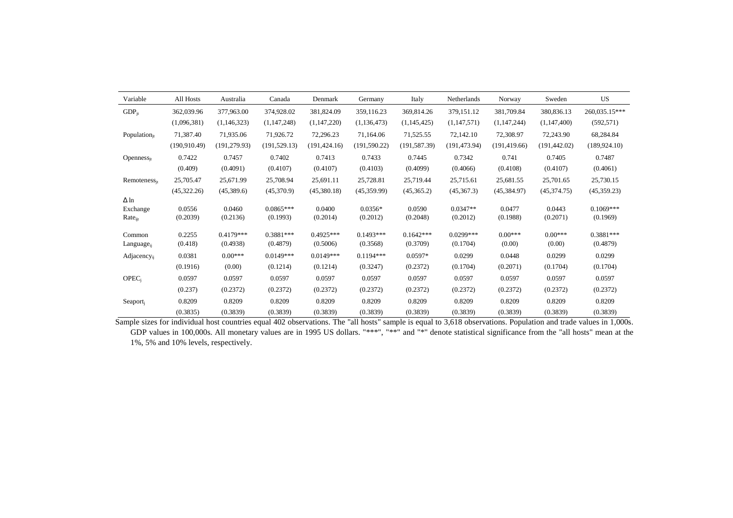| Variable                | All Hosts     | Australia     | Canada        | Denmark       | Germany       | Italy         | Netherlands   | Norway        | Sweden        | <b>US</b>     |
|-------------------------|---------------|---------------|---------------|---------------|---------------|---------------|---------------|---------------|---------------|---------------|
| $GDP_{it}$              | 362,039.96    | 377,963.00    | 374,928.02    | 381,824.09    | 359,116.23    | 369,814.26    | 379,151.12    | 381,709.84    | 380,836.13    | 260,035.15*** |
|                         | (1,096,381)   | (1,146,323)   | (1, 147, 248) | (1,147,220)   | (1,136,473)   | (1,145,425)   | (1,147,571)   | (1,147,244)   | (1,147,400)   | (592, 571)    |
| Population $_{it}$      | 71,387.40     | 71,935.06     | 71,926.72     | 72,296.23     | 71.164.06     | 71,525.55     | 72,142.10     | 72,308.97     | 72,243.90     | 68,284.84     |
|                         | (190, 910.49) | (191, 279.93) | (191, 529.13) | (191, 424.16) | (191, 590.22) | (191, 587.39) | (191, 473.94) | (191, 419.66) | (191, 442.02) | (189, 924.10) |
| Openness $_{it}$        | 0.7422        | 0.7457        | 0.7402        | 0.7413        | 0.7433        | 0.7445        | 0.7342        | 0.741         | 0.7405        | 0.7487        |
|                         | (0.409)       | (0.4091)      | (0.4107)      | (0.4107)      | (0.4103)      | (0.4099)      | (0.4066)      | (0.4108)      | (0.4107)      | (0.4061)      |
| $Remoteness_{jt}$       | 25,705.47     | 25,671.99     | 25,708.94     | 25,691.11     | 25,728.81     | 25,719.44     | 25,715.61     | 25,681.55     | 25,701.65     | 25,730.15     |
|                         | (45,322.26)   | (45,389.6)    | (45,370.9)    | (45,380.18)   | (45,359.99)   | (45,365.2)    | (45,367.3)    | (45,384.97)   | (45,374.75)   | (45,359.23)   |
| $\Delta$ ln             |               |               |               |               |               |               |               |               |               |               |
| Exchange                | 0.0556        | 0.0460        | $0.0865***$   | 0.0400        | $0.0356*$     | 0.0590        | $0.0347**$    | 0.0477        | 0.0443        | $0.1069***$   |
| $Rate_{ijt}$            | (0.2039)      | (0.2136)      | (0.1993)      | (0.2014)      | (0.2012)      | (0.2048)      | (0.2012)      | (0.1988)      | (0.2071)      | (0.1969)      |
| Common                  | 0.2255        | $0.4179***$   | $0.3881***$   | $0.4925***$   | $0.1493***$   | $0.1642***$   | $0.0299***$   | $0.00***$     | $0.00***$     | $0.3881***$   |
| Language <sub>ii</sub>  | (0.418)       | (0.4938)      | (0.4879)      | (0.5006)      | (0.3568)      | (0.3709)      | (0.1704)      | (0.00)        | (0.00)        | (0.4879)      |
| Adjacency <sub>ii</sub> | 0.0381        | $0.00***$     | $0.0149***$   | $0.0149***$   | $0.1194***$   | $0.0597*$     | 0.0299        | 0.0448        | 0.0299        | 0.0299        |
|                         | (0.1916)      | (0.00)        | (0.1214)      | (0.1214)      | (0.3247)      | (0.2372)      | (0.1704)      | (0.2071)      | (0.1704)      | (0.1704)      |
| <b>OPEC</b>             | 0.0597        | 0.0597        | 0.0597        | 0.0597        | 0.0597        | 0.0597        | 0.0597        | 0.0597        | 0.0597        | 0.0597        |
|                         | (0.237)       | (0.2372)      | (0.2372)      | (0.2372)      | (0.2372)      | (0.2372)      | (0.2372)      | (0.2372)      | (0.2372)      | (0.2372)      |
| ${\sf Seaport}_j$       | 0.8209        | 0.8209        | 0.8209        | 0.8209        | 0.8209        | 0.8209        | 0.8209        | 0.8209        | 0.8209        | 0.8209        |
|                         | (0.3835)      | (0.3839)      | (0.3839)      | (0.3839)      | (0.3839)      | (0.3839)      | (0.3839)      | (0.3839)      | (0.3839)      | (0.3839)      |

Sample sizes for individual host countries equal 402 observations. The "all hosts" sample is equal to 3,618 observations. Population and trade values in 1,000s. GDP values in 100,000s. All monetary values are in 1995 US dollars. "\*\*\*", "\*\*" and "\*" denote statistical significance from the "all hosts" mean at the 1%, 5% and 10% levels, respectively.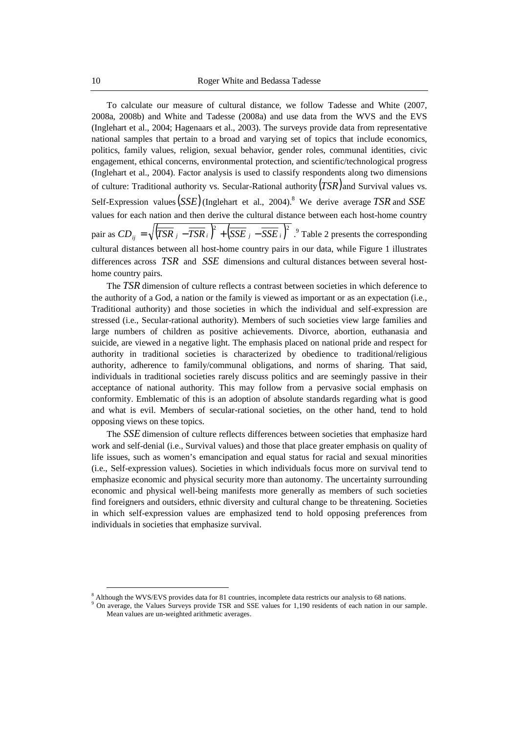To calculate our measure of cultural distance, we follow Tadesse and White (2007, 2008a, 2008b) and White and Tadesse (2008a) and use data from the WVS and the EVS (Inglehart et al., 2004; Hagenaars et al., 2003). The surveys provide data from representative national samples that pertain to a broad and varying set of topics that include economics, politics, family values, religion, sexual behavior, gender roles, communal identities, civic engagement, ethical concerns, environmental protection, and scientific/technological progress (Inglehart et al., 2004). Factor analysis is used to classify respondents along two dimensions of culture: Traditional authority vs. Secular-Rational authority  $(TSR)$  and Survival values vs. Self-Expression values (*SSE*) (Inglehart et al., 2004).<sup>8</sup> We derive average TSR and SSE values for each nation and then derive the cultural distance between each host-home country pair as  $CD_{ii} = \sqrt{(TSR_j - TSR_i)^2 + (SSE_j - SSE_i)^2}$ . Table 2 presents the corresponding cultural distances between all host-home country pairs in our data, while Figure 1 illustrates differences across  $TSR$  and  $SSE$  dimensions and cultural distances between several hosthome country pairs.  $CD_{ij} = \sqrt{(TSR_j - TSR_i)} + (SSE_j - SSE_i)$ 

The TSR dimension of culture reflects a contrast between societies in which deference to the authority of a God, a nation or the family is viewed as important or as an expectation (i.e., Traditional authority) and those societies in which the individual and self-expression are stressed (i.e., Secular-rational authority). Members of such societies view large families and large numbers of children as positive achievements. Divorce, abortion, euthanasia and suicide, are viewed in a negative light. The emphasis placed on national pride and respect for authority in traditional societies is characterized by obedience to traditional/religious authority, adherence to family/communal obligations, and norms of sharing. That said, individuals in traditional societies rarely discuss politics and are seemingly passive in their acceptance of national authority. This may follow from a pervasive social emphasis on conformity. Emblematic of this is an adoption of absolute standards regarding what is good and what is evil. Members of secular-rational societies, on the other hand, tend to hold opposing views on these topics.

The SSE dimension of culture reflects differences between societies that emphasize hard work and self-denial (i.e., Survival values) and those that place greater emphasis on quality of life issues, such as women's emancipation and equal status for racial and sexual minorities (i.e., Self-expression values). Societies in which individuals focus more on survival tend to emphasize economic and physical security more than autonomy. The uncertainty surrounding economic and physical well-being manifests more generally as members of such societies find foreigners and outsiders, ethnic diversity and cultural change to be threatening. Societies in which self-expression values are emphasized tend to hold opposing preferences from individuals in societies that emphasize survival.

<sup>&</sup>lt;sup>8</sup> Although the WVS/EVS provides data for 81 countries, incomplete data restricts our analysis to 68 nations.

On average, the Values Surveys provide TSR and SSE values for 1,190 residents of each nation in our sample. Mean values are un-weighted arithmetic averages.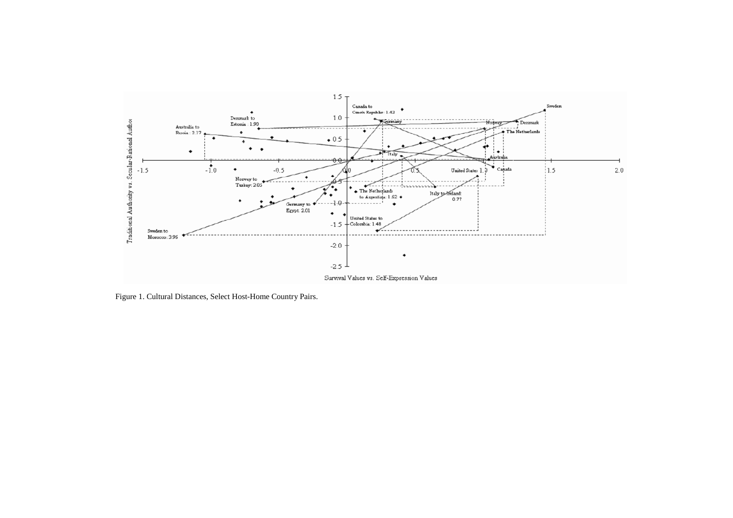

Figure 1. Cultural Distances, Select Host-Home Country Pairs.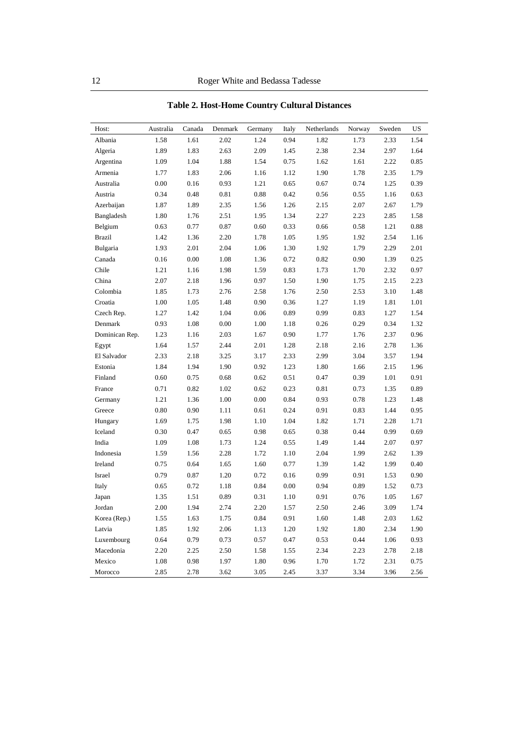| Host:          | Australia | Canada | Denmark | Germany | Italy    | Netherlands | Norway | Sweden | US   |
|----------------|-----------|--------|---------|---------|----------|-------------|--------|--------|------|
| Albania        | 1.58      | 1.61   | 2.02    | 1.24    | 0.94     | 1.82        | 1.73   | 2.33   | 1.54 |
| Algeria        | 1.89      | 1.83   | 2.63    | 2.09    | 1.45     | 2.38        | 2.34   | 2.97   | 1.64 |
| Argentina      | 1.09      | 1.04   | 1.88    | 1.54    | 0.75     | 1.62        | 1.61   | 2.22   | 0.85 |
| Armenia        | 1.77      | 1.83   | 2.06    | 1.16    | 1.12     | 1.90        | 1.78   | 2.35   | 1.79 |
| Australia      | 0.00      | 0.16   | 0.93    | 1.21    | 0.65     | 0.67        | 0.74   | 1.25   | 0.39 |
| Austria        | 0.34      | 0.48   | 0.81    | 0.88    | 0.42     | 0.56        | 0.55   | 1.16   | 0.63 |
| Azerbaijan     | 1.87      | 1.89   | 2.35    | 1.56    | 1.26     | 2.15        | 2.07   | 2.67   | 1.79 |
| Bangladesh     | 1.80      | 1.76   | 2.51    | 1.95    | 1.34     | 2.27        | 2.23   | 2.85   | 1.58 |
| Belgium        | 0.63      | 0.77   | 0.87    | 0.60    | 0.33     | 0.66        | 0.58   | 1.21   | 0.88 |
| <b>Brazil</b>  | 1.42      | 1.36   | 2.20    | 1.78    | 1.05     | 1.95        | 1.92   | 2.54   | 1.16 |
| Bulgaria       | 1.93      | 2.01   | 2.04    | 1.06    | 1.30     | 1.92        | 1.79   | 2.29   | 2.01 |
| Canada         | 0.16      | 0.00   | 1.08    | 1.36    | 0.72     | 0.82        | 0.90   | 1.39   | 0.25 |
| Chile          | 1.21      | 1.16   | 1.98    | 1.59    | 0.83     | 1.73        | 1.70   | 2.32   | 0.97 |
| China          | 2.07      | 2.18   | 1.96    | 0.97    | 1.50     | 1.90        | 1.75   | 2.15   | 2.23 |
| Colombia       | 1.85      | 1.73   | 2.76    | 2.58    | 1.76     | 2.50        | 2.53   | 3.10   | 1.48 |
| Croatia        | 1.00      | 1.05   | 1.48    | 0.90    | 0.36     | 1.27        | 1.19   | 1.81   | 1.01 |
| Czech Rep.     | 1.27      | 1.42   | 1.04    | 0.06    | 0.89     | 0.99        | 0.83   | 1.27   | 1.54 |
| Denmark        | 0.93      | 1.08   | 0.00    | 1.00    | 1.18     | 0.26        | 0.29   | 0.34   | 1.32 |
| Dominican Rep. | 1.23      | 1.16   | 2.03    | 1.67    | 0.90     | 1.77        | 1.76   | 2.37   | 0.96 |
| Egypt          | 1.64      | 1.57   | 2.44    | 2.01    | 1.28     | 2.18        | 2.16   | 2.78   | 1.36 |
| El Salvador    | 2.33      | 2.18   | 3.25    | 3.17    | 2.33     | 2.99        | 3.04   | 3.57   | 1.94 |
| Estonia        | 1.84      | 1.94   | 1.90    | 0.92    | 1.23     | 1.80        | 1.66   | 2.15   | 1.96 |
| Finland        | 0.60      | 0.75   | 0.68    | 0.62    | 0.51     | 0.47        | 0.39   | 1.01   | 0.91 |
| France         | 0.71      | 0.82   | 1.02    | 0.62    | 0.23     | 0.81        | 0.73   | 1.35   | 0.89 |
| Germany        | 1.21      | 1.36   | 1.00    | 0.00    | 0.84     | 0.93        | 0.78   | 1.23   | 1.48 |
| Greece         | 0.80      | 0.90   | 1.11    | 0.61    | 0.24     | 0.91        | 0.83   | 1.44   | 0.95 |
| Hungary        | 1.69      | 1.75   | 1.98    | 1.10    | 1.04     | 1.82        | 1.71   | 2.28   | 1.71 |
| Iceland        | 0.30      | 0.47   | 0.65    | 0.98    | 0.65     | 0.38        | 0.44   | 0.99   | 0.69 |
| India          | 1.09      | 1.08   | 1.73    | 1.24    | 0.55     | 1.49        | 1.44   | 2.07   | 0.97 |
| Indonesia      | 1.59      | 1.56   | 2.28    | 1.72    | 1.10     | 2.04        | 1.99   | 2.62   | 1.39 |
| Ireland        | 0.75      | 0.64   | 1.65    | 1.60    | 0.77     | 1.39        | 1.42   | 1.99   | 0.40 |
| Israel         | 0.79      | 0.87   | 1.20    | 0.72    | 0.16     | 0.99        | 0.91   | 1.53   | 0.90 |
| Italy          | 0.65      | 0.72   | 1.18    | 0.84    | $0.00\,$ | 0.94        | 0.89   | 1.52   | 0.73 |
| Japan          | 1.35      | 1.51   | 0.89    | 0.31    | 1.10     | 0.91        | 0.76   | 1.05   | 1.67 |
| Jordan         | 2.00      | 1.94   | 2.74    | 2.20    | 1.57     | 2.50        | 2.46   | 3.09   | 1.74 |
| Korea (Rep.)   | 1.55      | 1.63   | 1.75    | 0.84    | 0.91     | 1.60        | 1.48   | 2.03   | 1.62 |
| Latvia         | 1.85      | 1.92   | 2.06    | 1.13    | 1.20     | 1.92        | 1.80   | 2.34   | 1.90 |
| Luxembourg     | 0.64      | 0.79   | 0.73    | 0.57    | 0.47     | 0.53        | 0.44   | 1.06   | 0.93 |
| Macedonia      | 2.20      | 2.25   | 2.50    | 1.58    | 1.55     | 2.34        | 2.23   | 2.78   | 2.18 |
| Mexico         | 1.08      | 0.98   | 1.97    | 1.80    | 0.96     | 1.70        | 1.72   | 2.31   | 0.75 |
| Morocco        | 2.85      | 2.78   | 3.62    | 3.05    | 2.45     | 3.37        | 3.34   | 3.96   | 2.56 |

**Table 2. Host-Home Country Cultural Distances**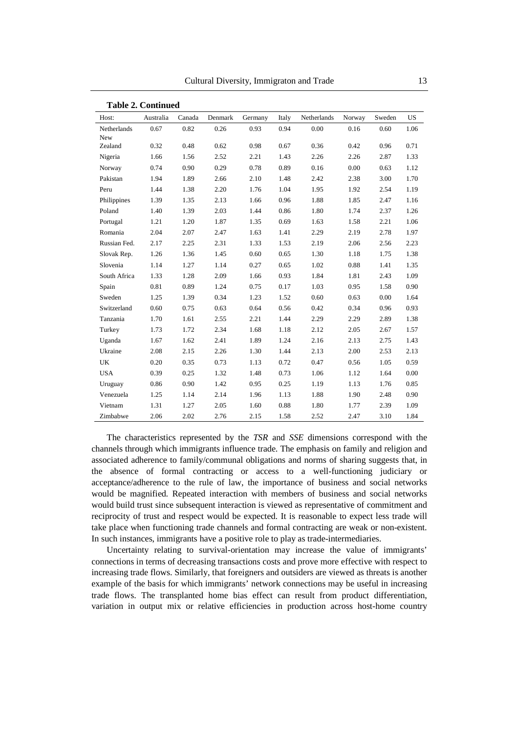|              | <b>Table 2. Continued</b> |        |         |         |       |             |        |        |           |
|--------------|---------------------------|--------|---------|---------|-------|-------------|--------|--------|-----------|
| Host:        | Australia                 | Canada | Denmark | Germany | Italy | Netherlands | Norway | Sweden | <b>US</b> |
| Netherlands  | 0.67                      | 0.82   | 0.26    | 0.93    | 0.94  | 0.00        | 0.16   | 0.60   | 1.06      |
| New          |                           |        |         |         |       |             |        |        |           |
| Zealand      | 0.32                      | 0.48   | 0.62    | 0.98    | 0.67  | 0.36        | 0.42   | 0.96   | 0.71      |
| Nigeria      | 1.66                      | 1.56   | 2.52    | 2.21    | 1.43  | 2.26        | 2.26   | 2.87   | 1.33      |
| Norway       | 0.74                      | 0.90   | 0.29    | 0.78    | 0.89  | 0.16        | 0.00   | 0.63   | 1.12      |
| Pakistan     | 1.94                      | 1.89   | 2.66    | 2.10    | 1.48  | 2.42        | 2.38   | 3.00   | 1.70      |
| Peru         | 1.44                      | 1.38   | 2.20    | 1.76    | 1.04  | 1.95        | 1.92   | 2.54   | 1.19      |
| Philippines  | 1.39                      | 1.35   | 2.13    | 1.66    | 0.96  | 1.88        | 1.85   | 2.47   | 1.16      |
| Poland       | 1.40                      | 1.39   | 2.03    | 1.44    | 0.86  | 1.80        | 1.74   | 2.37   | 1.26      |
| Portugal     | 1.21                      | 1.20   | 1.87    | 1.35    | 0.69  | 1.63        | 1.58   | 2.21   | 1.06      |
| Romania      | 2.04                      | 2.07   | 2.47    | 1.63    | 1.41  | 2.29        | 2.19   | 2.78   | 1.97      |
| Russian Fed. | 2.17                      | 2.25   | 2.31    | 1.33    | 1.53  | 2.19        | 2.06   | 2.56   | 2.23      |
| Slovak Rep.  | 1.26                      | 1.36   | 1.45    | 0.60    | 0.65  | 1.30        | 1.18   | 1.75   | 1.38      |
| Slovenia     | 1.14                      | 1.27   | 1.14    | 0.27    | 0.65  | 1.02        | 0.88   | 1.41   | 1.35      |
| South Africa | 1.33                      | 1.28   | 2.09    | 1.66    | 0.93  | 1.84        | 1.81   | 2.43   | 1.09      |
| Spain        | 0.81                      | 0.89   | 1.24    | 0.75    | 0.17  | 1.03        | 0.95   | 1.58   | 0.90      |
| Sweden       | 1.25                      | 1.39   | 0.34    | 1.23    | 1.52  | 0.60        | 0.63   | 0.00   | 1.64      |
| Switzerland  | 0.60                      | 0.75   | 0.63    | 0.64    | 0.56  | 0.42        | 0.34   | 0.96   | 0.93      |
| Tanzania     | 1.70                      | 1.61   | 2.55    | 2.21    | 1.44  | 2.29        | 2.29   | 2.89   | 1.38      |
| Turkey       | 1.73                      | 1.72   | 2.34    | 1.68    | 1.18  | 2.12        | 2.05   | 2.67   | 1.57      |
| Uganda       | 1.67                      | 1.62   | 2.41    | 1.89    | 1.24  | 2.16        | 2.13   | 2.75   | 1.43      |
| Ukraine      | 2.08                      | 2.15   | 2.26    | 1.30    | 1.44  | 2.13        | 2.00   | 2.53   | 2.13      |
| UK           | 0.20                      | 0.35   | 0.73    | 1.13    | 0.72  | 0.47        | 0.56   | 1.05   | 0.59      |
| <b>USA</b>   | 0.39                      | 0.25   | 1.32    | 1.48    | 0.73  | 1.06        | 1.12   | 1.64   | 0.00      |
| Uruguay      | 0.86                      | 0.90   | 1.42    | 0.95    | 0.25  | 1.19        | 1.13   | 1.76   | 0.85      |
| Venezuela    | 1.25                      | 1.14   | 2.14    | 1.96    | 1.13  | 1.88        | 1.90   | 2.48   | 0.90      |
| Vietnam      | 1.31                      | 1.27   | 2.05    | 1.60    | 0.88  | 1.80        | 1.77   | 2.39   | 1.09      |
| Zimbabwe     | 2.06                      | 2.02   | 2.76    | 2.15    | 1.58  | 2.52        | 2.47   | 3.10   | 1.84      |

The characteristics represented by the *TSR* and *SSE* dimensions correspond with the channels through which immigrants influence trade. The emphasis on family and religion and associated adherence to family/communal obligations and norms of sharing suggests that, in the absence of formal contracting or access to a well-functioning judiciary or acceptance/adherence to the rule of law, the importance of business and social networks would be magnified. Repeated interaction with members of business and social networks would build trust since subsequent interaction is viewed as representative of commitment and reciprocity of trust and respect would be expected. It is reasonable to expect less trade will take place when functioning trade channels and formal contracting are weak or non-existent. In such instances, immigrants have a positive role to play as trade-intermediaries.

Uncertainty relating to survival-orientation may increase the value of immigrants' connections in terms of decreasing transactions costs and prove more effective with respect to increasing trade flows. Similarly, that foreigners and outsiders are viewed as threats is another example of the basis for which immigrants' network connections may be useful in increasing trade flows. The transplanted home bias effect can result from product differentiation, variation in output mix or relative efficiencies in production across host-home country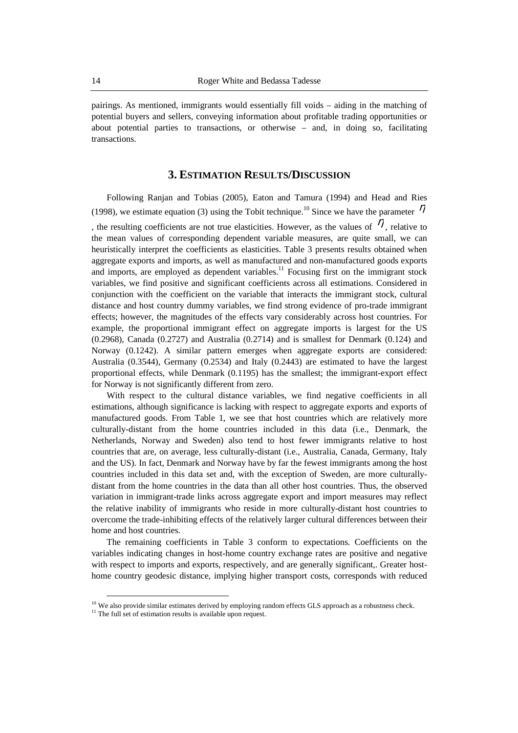pairings. As mentioned, immigrants would essentially fill voids – aiding in the matching of potential buyers and sellers, conveying information about profitable trading opportunities or about potential parties to transactions, or otherwise – and, in doing so, facilitating transactions.

#### **3. ESTIMATION RESULTS/DISCUSSION**

Following Ranjan and Tobias (2005), Eaton and Tamura (1994) and Head and Ries (1998), we estimate equation (3) using the Tobit technique.<sup>10</sup> Since we have the parameter  $\eta$ , the resulting coefficients are not true elasticities. However, as the values of  $\eta$ , relative to the mean values of corresponding dependent variable measures, are quite small, we can heuristically interpret the coefficients as elasticities. Table 3 presents results obtained when aggregate exports and imports, as well as manufactured and non-manufactured goods exports and imports, are employed as dependent variables. $11$  Focusing first on the immigrant stock variables, we find positive and significant coefficients across all estimations. Considered in conjunction with the coefficient on the variable that interacts the immigrant stock, cultural distance and host country dummy variables, we find strong evidence of pro-trade immigrant effects; however, the magnitudes of the effects vary considerably across host countries. For example, the proportional immigrant effect on aggregate imports is largest for the US (0.2968), Canada (0.2727) and Australia (0.2714) and is smallest for Denmark (0.124) and Norway (0.1242). A similar pattern emerges when aggregate exports are considered: Australia (0.3544), Germany (0.2534) and Italy (0.2443) are estimated to have the largest proportional effects, while Denmark (0.1195) has the smallest; the immigrant-export effect for Norway is not significantly different from zero.

With respect to the cultural distance variables, we find negative coefficients in all estimations, although significance is lacking with respect to aggregate exports and exports of manufactured goods. From Table 1, we see that host countries which are relatively more culturally-distant from the home countries included in this data (i.e., Denmark, the Netherlands, Norway and Sweden) also tend to host fewer immigrants relative to host countries that are, on average, less culturally-distant (i.e., Australia, Canada, Germany, Italy and the US). In fact, Denmark and Norway have by far the fewest immigrants among the host countries included in this data set and, with the exception of Sweden, are more culturallydistant from the home countries in the data than all other host countries. Thus, the observed variation in immigrant-trade links across aggregate export and import measures may reflect the relative inability of immigrants who reside in more culturally-distant host countries to overcome the trade-inhibiting effects of the relatively larger cultural differences between their home and host countries.

The remaining coefficients in Table 3 conform to expectations. Coefficients on the variables indicating changes in host-home country exchange rates are positive and negative with respect to imports and exports, respectively, and are generally significant,. Greater hosthome country geodesic distance, implying higher transport costs, corresponds with reduced

 $10$  We also provide similar estimates derived by employing random effects GLS approach as a robustness check.

 $11$ <sup>11</sup> The full set of estimation results is available upon request.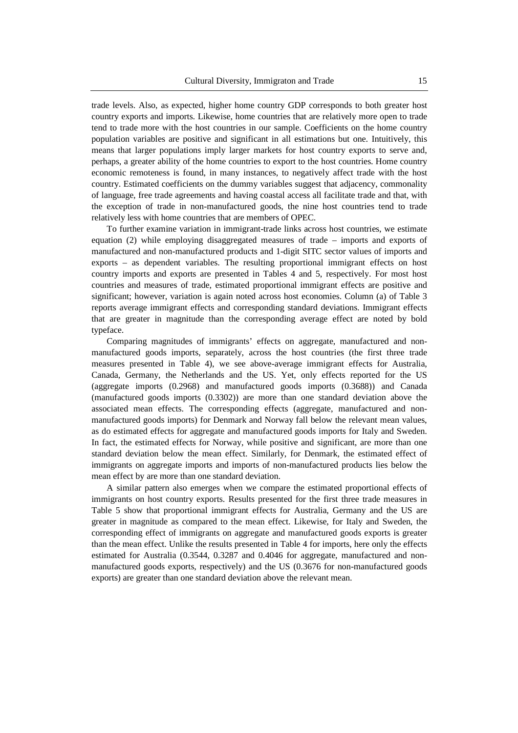trade levels. Also, as expected, higher home country GDP corresponds to both greater host country exports and imports. Likewise, home countries that are relatively more open to trade tend to trade more with the host countries in our sample. Coefficients on the home country population variables are positive and significant in all estimations but one. Intuitively, this means that larger populations imply larger markets for host country exports to serve and, perhaps, a greater ability of the home countries to export to the host countries. Home country economic remoteness is found, in many instances, to negatively affect trade with the host country. Estimated coefficients on the dummy variables suggest that adjacency, commonality of language, free trade agreements and having coastal access all facilitate trade and that, with the exception of trade in non-manufactured goods, the nine host countries tend to trade relatively less with home countries that are members of OPEC.

To further examine variation in immigrant-trade links across host countries, we estimate equation (2) while employing disaggregated measures of trade – imports and exports of manufactured and non-manufactured products and 1-digit SITC sector values of imports and exports – as dependent variables. The resulting proportional immigrant effects on host country imports and exports are presented in Tables 4 and 5, respectively. For most host countries and measures of trade, estimated proportional immigrant effects are positive and significant; however, variation is again noted across host economies. Column (a) of Table 3 reports average immigrant effects and corresponding standard deviations. Immigrant effects that are greater in magnitude than the corresponding average effect are noted by bold typeface.

Comparing magnitudes of immigrants' effects on aggregate, manufactured and nonmanufactured goods imports, separately, across the host countries (the first three trade measures presented in Table 4), we see above-average immigrant effects for Australia, Canada, Germany, the Netherlands and the US. Yet, only effects reported for the US (aggregate imports (0.2968) and manufactured goods imports (0.3688)) and Canada (manufactured goods imports (0.3302)) are more than one standard deviation above the associated mean effects. The corresponding effects (aggregate, manufactured and nonmanufactured goods imports) for Denmark and Norway fall below the relevant mean values, as do estimated effects for aggregate and manufactured goods imports for Italy and Sweden. In fact, the estimated effects for Norway, while positive and significant, are more than one standard deviation below the mean effect. Similarly, for Denmark, the estimated effect of immigrants on aggregate imports and imports of non-manufactured products lies below the mean effect by are more than one standard deviation.

A similar pattern also emerges when we compare the estimated proportional effects of immigrants on host country exports. Results presented for the first three trade measures in Table 5 show that proportional immigrant effects for Australia, Germany and the US are greater in magnitude as compared to the mean effect. Likewise, for Italy and Sweden, the corresponding effect of immigrants on aggregate and manufactured goods exports is greater than the mean effect. Unlike the results presented in Table 4 for imports, here only the effects estimated for Australia (0.3544, 0.3287 and 0.4046 for aggregate, manufactured and nonmanufactured goods exports, respectively) and the US (0.3676 for non-manufactured goods exports) are greater than one standard deviation above the relevant mean.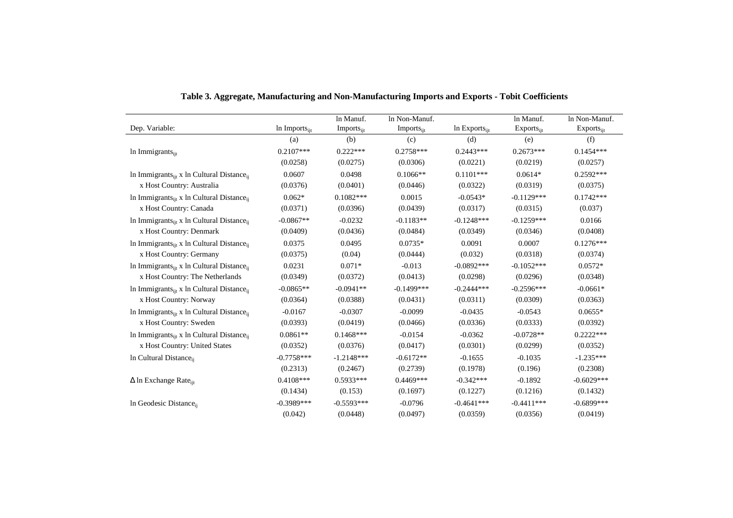|                                                                     |                           | In Manuf.             | In Non-Manuf.          |                    | In Manuf.              | In Non-Manuf.   |
|---------------------------------------------------------------------|---------------------------|-----------------------|------------------------|--------------------|------------------------|-----------------|
| Dep. Variable:                                                      | In Imports <sub>ijt</sub> | Imports <sub>it</sub> | Imports <sub>iit</sub> | In $Exports_{ijt}$ | Exports <sub>ijt</sub> | $Exports_{ijt}$ |
|                                                                     | (a)                       | (b)                   | (c)                    | (d)                | (e)                    | (f)             |
| In Immigrants <sub>ijt</sub>                                        | $0.2107***$               | $0.222***$            | $0.2758***$            | $0.2443***$        | $0.2673***$            | $0.1454***$     |
|                                                                     | (0.0258)                  | (0.0275)              | (0.0306)               | (0.0221)           | (0.0219)               | (0.0257)        |
| In Immigrants <sub>iit</sub> x In Cultural Distance <sub>ii</sub>   | 0.0607                    | 0.0498                | $0.1066**$             | $0.1101***$        | $0.0614*$              | $0.2592***$     |
| x Host Country: Australia                                           | (0.0376)                  | (0.0401)              | (0.0446)               | (0.0322)           | (0.0319)               | (0.0375)        |
| In Immigrants <sub>iit</sub> x In Cultural Distance <sub>ii</sub>   | $0.062*$                  | $0.1082***$           | 0.0015                 | $-0.0543*$         | $-0.1129***$           | $0.1742***$     |
| x Host Country: Canada                                              | (0.0371)                  | (0.0396)              | (0.0439)               | (0.0317)           | (0.0315)               | (0.037)         |
| In Immigrants <sub>iit</sub> x In Cultural Distance <sub>ii</sub>   | $-0.0867**$               | $-0.0232$             | $-0.1183**$            | $-0.1248***$       | $-0.1259***$           | 0.0166          |
| x Host Country: Denmark                                             | (0.0409)                  | (0.0436)              | (0.0484)               | (0.0349)           | (0.0346)               | (0.0408)        |
| In Immigrants <sub>iit</sub> x In Cultural Distance <sub>ii</sub>   | 0.0375                    | 0.0495                | $0.0735*$              | 0.0091             | 0.0007                 | $0.1276***$     |
| x Host Country: Germany                                             | (0.0375)                  | (0.04)                | (0.0444)               | (0.032)            | (0.0318)               | (0.0374)        |
| In Immigrants <sub>iit</sub> x In Cultural Distance <sub>ii</sub>   | 0.0231                    | $0.071*$              | $-0.013$               | $-0.0892***$       | $-0.1052***$           | $0.0572*$       |
| x Host Country: The Netherlands                                     | (0.0349)                  | (0.0372)              | (0.0413)               | (0.0298)           | (0.0296)               | (0.0348)        |
| In Immigrants $_{\text{iit}}$ x In Cultural Distance $_{\text{ii}}$ | $-0.0865**$               | $-0.0941**$           | $-0.1499***$           | $-0.2444***$       | $-0.2596***$           | $-0.0661*$      |
| x Host Country: Norway                                              | (0.0364)                  | (0.0388)              | (0.0431)               | (0.0311)           | (0.0309)               | (0.0363)        |
| In Immigrants <sub>iit</sub> x In Cultural Distance <sub>ii</sub>   | $-0.0167$                 | $-0.0307$             | $-0.0099$              | $-0.0435$          | $-0.0543$              | $0.0655*$       |
| x Host Country: Sweden                                              | (0.0393)                  | (0.0419)              | (0.0466)               | (0.0336)           | (0.0333)               | (0.0392)        |
| In Immigrants <sub>iit</sub> x In Cultural Distance <sub>ii</sub>   | $0.0861**$                | $0.1468***$           | $-0.0154$              | $-0.0362$          | $-0.0728**$            | $0.2222***$     |
| x Host Country: United States                                       | (0.0352)                  | (0.0376)              | (0.0417)               | (0.0301)           | (0.0299)               | (0.0352)        |
| In Cultural Distance <sub>ii</sub>                                  | $-0.7758***$              | $-1.2148***$          | $-0.6172**$            | $-0.1655$          | $-0.1035$              | $-1.235***$     |
|                                                                     | (0.2313)                  | (0.2467)              | (0.2739)               | (0.1978)           | (0.196)                | (0.2308)        |
| $\Delta$ ln Exchange Rate <sub>iit</sub>                            | $0.4108***$               | $0.5933***$           | $0.4469***$            | $-0.342***$        | $-0.1892$              | $-0.6029***$    |
|                                                                     | (0.1434)                  | (0.153)               | (0.1697)               | (0.1227)           | (0.1216)               | (0.1432)        |
| In Geodesic Distanceii                                              | $-0.3989***$              | $-0.5593***$          | $-0.0796$              | $-0.4641***$       | $-0.4411***$           | $-0.6899***$    |
|                                                                     | (0.042)                   | (0.0448)              | (0.0497)               | (0.0359)           | (0.0356)               | (0.0419)        |

| Table 3. Aggregate, Manufacturing and Non-Manufacturing Imports and Exports - Tobit Coefficients |  |  |
|--------------------------------------------------------------------------------------------------|--|--|
|                                                                                                  |  |  |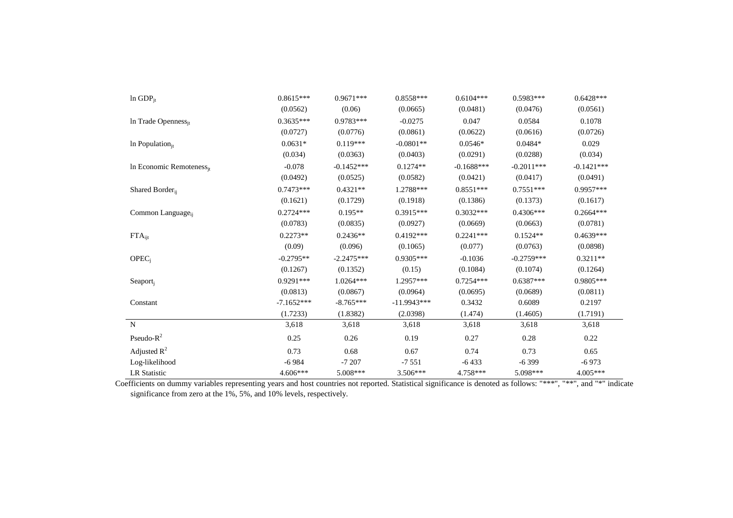| $ln$ GDP <sub>it</sub>               | $0.8615***$  | $0.9671***$  | $0.8558***$   | $0.6104***$  | $0.5983***$  | $0.6428***$  |
|--------------------------------------|--------------|--------------|---------------|--------------|--------------|--------------|
|                                      | (0.0562)     | (0.06)       | (0.0665)      | (0.0481)     | (0.0476)     | (0.0561)     |
| In Trade Openness <sub>it</sub>      | $0.3635***$  | $0.9783***$  | $-0.0275$     | 0.047        | 0.0584       | 0.1078       |
|                                      | (0.0727)     | (0.0776)     | (0.0861)      | (0.0622)     | (0.0616)     | (0.0726)     |
| In Population $_{it}$                | $0.0631*$    | $0.119***$   | $-0.0801**$   | $0.0546*$    | 0.0484*      | 0.029        |
|                                      | (0.034)      | (0.0363)     | (0.0403)      | (0.0291)     | (0.0288)     | (0.034)      |
| In Economic Remoteness <sub>it</sub> | $-0.078$     | $-0.1452***$ | $0.1274**$    | $-0.1688***$ | $-0.2011***$ | $-0.1421***$ |
|                                      | (0.0492)     | (0.0525)     | (0.0582)      | (0.0421)     | (0.0417)     | (0.0491)     |
| Shared Border <sub>ij</sub>          | $0.7473***$  | $0.4321**$   | 1.2788***     | $0.8551***$  | $0.7551***$  | $0.9957***$  |
|                                      | (0.1621)     | (0.1729)     | (0.1918)      | (0.1386)     | (0.1373)     | (0.1617)     |
| Common Language <sub>ii</sub>        | $0.2724***$  | $0.195**$    | $0.3915***$   | $0.3032***$  | $0.4306***$  | $0.2664***$  |
|                                      | (0.0783)     | (0.0835)     | (0.0927)      | (0.0669)     | (0.0663)     | (0.0781)     |
| $FTA_{ijt}$                          | $0.2273**$   | $0.2436**$   | $0.4192***$   | $0.2241***$  | $0.1524**$   | $0.4639***$  |
|                                      | (0.09)       | (0.096)      | (0.1065)      | (0.077)      | (0.0763)     | (0.0898)     |
| OPEC <sub>i</sub>                    | $-0.2795**$  | $-2.2475***$ | $0.9305***$   | $-0.1036$    | $-0.2759***$ | $0.3211**$   |
|                                      | (0.1267)     | (0.1352)     | (0.15)        | (0.1084)     | (0.1074)     | (0.1264)     |
| Seaport <sub>j</sub>                 | $0.9291***$  | $1.0264***$  | $1.2957***$   | $0.7254***$  | $0.6387***$  | $0.9805***$  |
|                                      | (0.0813)     | (0.0867)     | (0.0964)      | (0.0695)     | (0.0689)     | (0.0811)     |
| Constant                             | $-7.1652***$ | $-8.765***$  | $-11.9943***$ | 0.3432       | 0.6089       | 0.2197       |
|                                      | (1.7233)     | (1.8382)     | (2.0398)      | (1.474)      | (1.4605)     | (1.7191)     |
| ${\bf N}$                            | 3,618        | 3,618        | 3,618         | 3,618        | 3,618        | 3,618        |
| Pseudo- $R^2$                        | 0.25         | 0.26         | 0.19          | 0.27         | 0.28         | 0.22         |
| Adjusted $R^2$                       | 0.73         | 0.68         | 0.67          | 0.74         | 0.73         | 0.65         |
| Log-likelihood                       | $-6984$      | $-7207$      | $-7551$       | $-6433$      | $-6399$      | $-6973$      |
| <b>LR Statistic</b>                  | $4.606***$   | 5.008***     | $3.506***$    | 4.758***     | 5.098***     | $4.005***$   |

 Coefficients on dummy variables representing years and host countries not reported. Statistical significance is denoted as follows: "\*\*\*", "\*\*", and "\*" indicate significance from zero at the 1%, 5%, and 10% levels, respectively.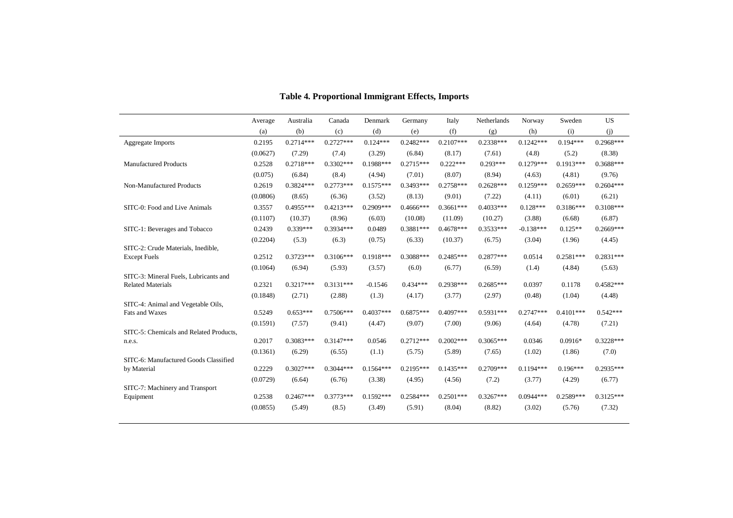|                                                           | Average  | Australia   | Canada      | Denmark     | Germany     | Italy       | Netherlands | Norway      | Sweden      | <b>US</b>   |
|-----------------------------------------------------------|----------|-------------|-------------|-------------|-------------|-------------|-------------|-------------|-------------|-------------|
|                                                           | (a)      | (b)         | (c)         | (d)         | (e)         | (f)         | (g)         | (h)         | (i)         | (i)         |
| Aggregate Imports                                         | 0.2195   | $0.2714***$ | $0.2727***$ | $0.124***$  | $0.2482***$ | $0.2107***$ | $0.2338***$ | $0.1242***$ | $0.194***$  | $0.2968***$ |
|                                                           | (0.0627) | (7.29)      | (7.4)       | (3.29)      | (6.84)      | (8.17)      | (7.61)      | (4.8)       | (5.2)       | (8.38)      |
| <b>Manufactured Products</b>                              | 0.2528   | $0.2718***$ | $0.3302***$ | $0.1988***$ | $0.2715***$ | $0.222***$  | $0.293***$  | $0.1279***$ | $0.1913***$ | $0.3688***$ |
|                                                           | (0.075)  | (6.84)      | (8.4)       | (4.94)      | (7.01)      | (8.07)      | (8.94)      | (4.63)      | (4.81)      | (9.76)      |
| Non-Manufactured Products                                 | 0.2619   | $0.3824***$ | $0.2773***$ | $0.1575***$ | $0.3493***$ | $0.2758***$ | $0.2628***$ | $0.1259***$ | $0.2659***$ | $0.2604***$ |
|                                                           | (0.0806) | (8.65)      | (6.36)      | (3.52)      | (8.13)      | (9.01)      | (7.22)      | (4.11)      | (6.01)      | (6.21)      |
| SITC-0: Food and Live Animals                             | 0.3557   | $0.4955***$ | $0.4213***$ | $0.2909***$ | $0.4666***$ | $0.3661***$ | $0.4033***$ | $0.128***$  | $0.3186***$ | $0.3108***$ |
|                                                           | (0.1107) | (10.37)     | (8.96)      | (6.03)      | (10.08)     | (11.09)     | (10.27)     | (3.88)      | (6.68)      | (6.87)      |
| SITC-1: Beverages and Tobacco                             | 0.2439   | $0.339***$  | $0.3934***$ | 0.0489      | $0.3881***$ | $0.4678***$ | $0.3533***$ | $-0.138***$ | $0.125**$   | $0.2669***$ |
|                                                           | (0.2204) | (5.3)       | (6.3)       | (0.75)      | (6.33)      | (10.37)     | (6.75)      | (3.04)      | (1.96)      | (4.45)      |
| SITC-2: Crude Materials, Inedible,<br><b>Except Fuels</b> | 0.2512   | $0.3723***$ | $0.3106***$ | $0.1918***$ | $0.3088***$ | $0.2485***$ | $0.2877***$ | 0.0514      | $0.2581***$ | $0.2831***$ |
|                                                           | (0.1064) | (6.94)      | (5.93)      | (3.57)      | (6.0)       | (6.77)      | (6.59)      | (1.4)       | (4.84)      | (5.63)      |
| SITC-3: Mineral Fuels, Lubricants and                     |          |             |             |             |             |             |             |             |             |             |
| <b>Related Materials</b>                                  | 0.2321   | $0.3217***$ | $0.3131***$ | $-0.1546$   | $0.434***$  | $0.2938***$ | $0.2685***$ | 0.0397      | 0.1178      | $0.4582***$ |
|                                                           | (0.1848) | (2.71)      | (2.88)      | (1.3)       | (4.17)      | (3.77)      | (2.97)      | (0.48)      | (1.04)      | (4.48)      |
| SITC-4: Animal and Vegetable Oils,<br>Fats and Waxes      | 0.5249   | $0.653***$  | $0.7506***$ | $0.4037***$ | $0.6875***$ | $0.4097***$ | $0.5931***$ | $0.2747***$ | $0.4101***$ | $0.542***$  |
|                                                           |          |             |             |             |             |             |             |             |             |             |
| SITC-5: Chemicals and Related Products,                   | (0.1591) | (7.57)      | (9.41)      | (4.47)      | (9.07)      | (7.00)      | (9.06)      | (4.64)      | (4.78)      | (7.21)      |
| n.e.s.                                                    | 0.2017   | $0.3083***$ | $0.3147***$ | 0.0546      | $0.2712***$ | $0.2002***$ | $0.3065***$ | 0.0346      | $0.0916*$   | $0.3228***$ |
|                                                           | (0.1361) | (6.29)      | (6.55)      | (1.1)       | (5.75)      | (5.89)      | (7.65)      | (1.02)      | (1.86)      | (7.0)       |
| SITC-6: Manufactured Goods Classified                     |          |             |             |             |             |             |             |             |             |             |
| by Material                                               | 0.2229   | $0.3027***$ | $0.3044***$ | $0.1564***$ | $0.2195***$ | $0.1435***$ | $0.2709***$ | $0.1194***$ | $0.196***$  | $0.2935***$ |
|                                                           | (0.0729) | (6.64)      | (6.76)      | (3.38)      | (4.95)      | (4.56)      | (7.2)       | (3.77)      | (4.29)      | (6.77)      |
| SITC-7: Machinery and Transport<br>Equipment              | 0.2538   | $0.2467***$ | $0.3773***$ | $0.1592***$ | $0.2584***$ | $0.2501***$ | $0.3267***$ | $0.0944***$ | 0.2589***   | $0.3125***$ |
|                                                           | (0.0855) | (5.49)      | (8.5)       | (3.49)      | (5.91)      | (8.04)      | (8.82)      | (3.02)      | (5.76)      | (7.32)      |
|                                                           |          |             |             |             |             |             |             |             |             |             |

#### **Table 4. Proportional Immigrant Effects, Imports**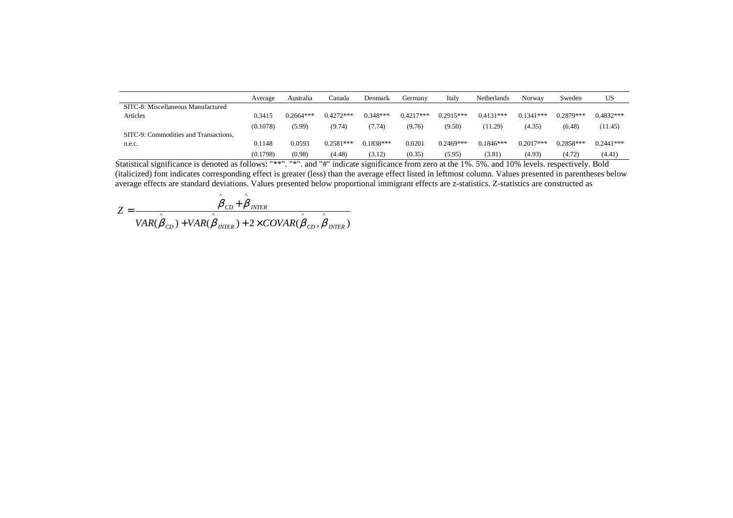|                                       | Average  | Australia   | Canada      | Denmark     | Germany     | Italy       | <b>Netherlands</b> | Norway      | Sweden      | US          |
|---------------------------------------|----------|-------------|-------------|-------------|-------------|-------------|--------------------|-------------|-------------|-------------|
| SITC-8: Miscellaneous Manufactured    |          |             |             |             |             |             |                    |             |             |             |
| Articles                              | 0.3415   | $0.2664***$ | $0.4272***$ | $0.348***$  | $0.4217***$ | $0.2915***$ | $0.4131***$        | $0.1341***$ | $0.2879***$ | $0.4832***$ |
|                                       | (0.1078) | (5.99)      | (9.74)      | (7.74)      | (9.76)      | (9.50)      | (11.29)            | (4.35)      | (6.48)      | (11.45)     |
| SITC-9: Commodities and Transactions. |          |             |             |             |             |             |                    |             |             |             |
| n.e.c.                                | 0.1148   | 0.0593      | $0.2581***$ | $0.1838***$ | 0.0201      | $0.2469***$ | $0.1846***$        | $0.2017***$ | $0.2858***$ | $0.2441***$ |
|                                       | (0.1798) | (0.98)      | (4.48)      | (3.12)      | (0.35)      | (5.95)      | (3.81)             | (4.93)      | (4.72)      | (4.41)      |

 $\frac{(0.1798)}{\text{Statistical significance}}$  is denoted as follows: "\*\*". "\*". and "#" indicate significance from zero at the 1%. 5%. and 10% levels. respectively. Bold<br>(italicized) font indicates corresponding effect is greater (less) than the a

$$
Z = \frac{\hat{\beta}_{CD} + \hat{\beta}_{INTER}}{VAR(\hat{\beta}_{CD}) + VAR(\hat{\beta}_{INTER}) + 2 \times COVAR(\hat{\beta}_{CD}, \hat{\beta}_{INTER})}
$$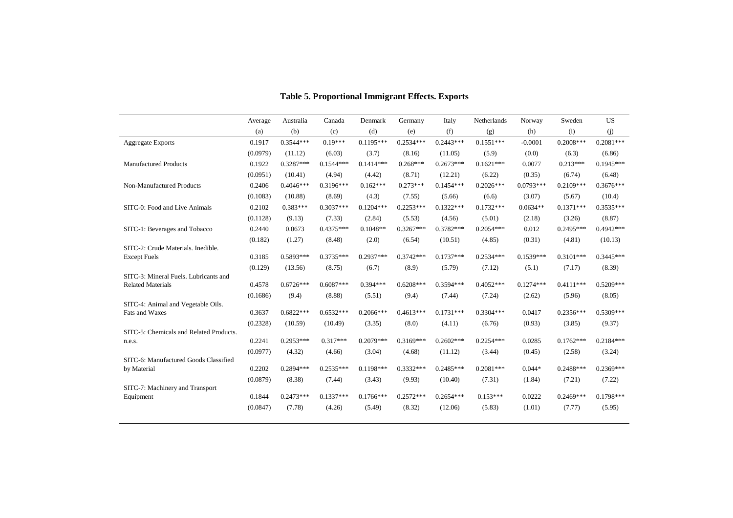|                                                   | Average  | Australia   | Canada      | Denmark     | Germany     | Italy       | Netherlands | Norway      | Sweden      | US          |
|---------------------------------------------------|----------|-------------|-------------|-------------|-------------|-------------|-------------|-------------|-------------|-------------|
|                                                   | (a)      | (b)         | (c)         | (d)         | (e)         | (f)         | (g)         | (h)         | (i)         | (i)         |
| <b>Aggregate Exports</b>                          | 0.1917   | $0.3544***$ | $0.19***$   | $0.1195***$ | $0.2534***$ | $0.2443***$ | $0.1551***$ | $-0.0001$   | $0.2008***$ | $0.2081***$ |
|                                                   | (0.0979) | (11.12)     | (6.03)      | (3.7)       | (8.16)      | (11.05)     | (5.9)       | (0.0)       | (6.3)       | (6.86)      |
| <b>Manufactured Products</b>                      | 0.1922   | $0.3287***$ | $0.1544***$ | $0.1414***$ | $0.268***$  | $0.2673***$ | $0.1621***$ | 0.0077      | $0.213***$  | $0.1945***$ |
|                                                   | (0.0951) | (10.41)     | (4.94)      | (4.42)      | (8.71)      | (12.21)     | (6.22)      | (0.35)      | (6.74)      | (6.48)      |
| Non-Manufactured Products                         | 0.2406   | $0.4046***$ | $0.3196***$ | $0.162***$  | $0.273***$  | $0.1454***$ | $0.2026***$ | $0.0793***$ | $0.2109***$ | $0.3676***$ |
|                                                   | (0.1083) | (10.88)     | (8.69)      | (4.3)       | (7.55)      | (5.66)      | (6.6)       | (3.07)      | (5.67)      | (10.4)      |
| SITC-0: Food and Live Animals                     | 0.2102   | $0.383***$  | $0.3037***$ | $0.1204***$ | $0.2253***$ | $0.1322***$ | $0.1732***$ | $0.0634**$  | $0.1371***$ | $0.3535***$ |
|                                                   | (0.1128) | (9.13)      | (7.33)      | (2.84)      | (5.53)      | (4.56)      | (5.01)      | (2.18)      | (3.26)      | (8.87)      |
| SITC-1: Beverages and Tobacco                     | 0.2440   | 0.0673      | $0.4375***$ | $0.1048**$  | $0.3267***$ | $0.3782***$ | $0.2054***$ | 0.012       | $0.2495***$ | $0.4942***$ |
|                                                   | (0.182)  | (1.27)      | (8.48)      | (2.0)       | (6.54)      | (10.51)     | (4.85)      | (0.31)      | (4.81)      | (10.13)     |
| SITC-2: Crude Materials. Inedible.                |          |             |             |             |             |             |             |             |             |             |
| <b>Except Fuels</b>                               | 0.3185   | $0.5893***$ | $0.3735***$ | $0.2937***$ | $0.3742***$ | $0.1737***$ | $0.2534***$ | $0.1539***$ | $0.3101***$ | $0.3445***$ |
| SITC-3: Mineral Fuels. Lubricants and             | (0.129)  | (13.56)     | (8.75)      | (6.7)       | (8.9)       | (5.79)      | (7.12)      | (5.1)       | (7.17)      | (8.39)      |
| <b>Related Materials</b>                          | 0.4578   | $0.6726***$ | $0.6087***$ | $0.394***$  | $0.6208***$ | $0.3594***$ | $0.4052***$ | $0.1274***$ | $0.4111***$ | $0.5209***$ |
|                                                   | (0.1686) | (9.4)       | (8.88)      | (5.51)      | (9.4)       | (7.44)      | (7.24)      | (2.62)      | (5.96)      | (8.05)      |
| SITC-4: Animal and Vegetable Oils.                |          |             |             |             |             |             |             |             |             |             |
| Fats and Waxes                                    | 0.3637   | $0.6822***$ | $0.6532***$ | $0.2066***$ | $0.4613***$ | $0.1731***$ | $0.3304***$ | 0.0417      | $0.2356***$ | $0.5309***$ |
|                                                   | (0.2328) | (10.59)     | (10.49)     | (3.35)      | (8.0)       | (4.11)      | (6.76)      | (0.93)      | (3.85)      | (9.37)      |
| SITC-5: Chemicals and Related Products.<br>n.e.s. | 0.2241   | $0.2953***$ | $0.317***$  | $0.2079***$ | $0.3169***$ | $0.2602***$ | $0.2254***$ | 0.0285      | $0.1762***$ | 0.2184***   |
|                                                   | (0.0977) | (4.32)      | (4.66)      | (3.04)      | (4.68)      | (11.12)     | (3.44)      | (0.45)      | (2.58)      | (3.24)      |
| SITC-6: Manufactured Goods Classified             |          |             |             |             |             |             |             |             |             |             |
| by Material                                       | 0.2202   | $0.2894***$ | $0.2535***$ | $0.1198***$ | $0.3332***$ | $0.2485***$ | $0.2081***$ | $0.044*$    | $0.2488***$ | $0.2369***$ |
|                                                   | (0.0879) | (8.38)      | (7.44)      | (3.43)      | (9.93)      | (10.40)     | (7.31)      | (1.84)      | (7.21)      | (7.22)      |
| SITC-7: Machinery and Transport                   |          |             |             |             |             |             |             |             |             |             |
| Equipment                                         | 0.1844   | $0.2473***$ | $0.1337***$ | $0.1766***$ | $0.2572***$ | $0.2654***$ | $0.153***$  | 0.0222      | $0.2469***$ | $0.1798***$ |
|                                                   | (0.0847) | (7.78)      | (4.26)      | (5.49)      | (8.32)      | (12.06)     | (5.83)      | (1.01)      | (7.77)      | (5.95)      |

### **Table 5. Proportional Immigrant Effects. Exports**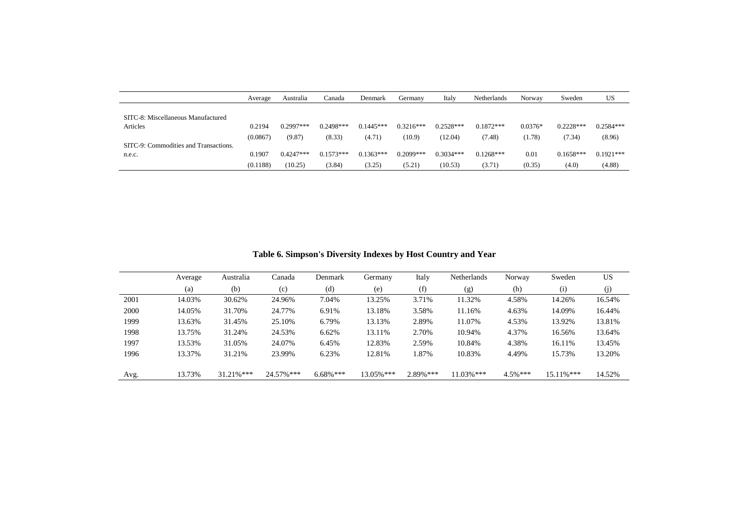|                                       | Average  | Australia   | Canada      | Denmark     | Germany     | Italy       | <b>Netherlands</b> | Norway    | Sweden      | US          |
|---------------------------------------|----------|-------------|-------------|-------------|-------------|-------------|--------------------|-----------|-------------|-------------|
|                                       |          |             |             |             |             |             |                    |           |             |             |
| SITC-8: Miscellaneous Manufactured    |          |             |             |             |             |             |                    |           |             |             |
| Articles                              | 0.2194   | $0.2997***$ | $0.2498***$ | $0.1445***$ | $0.3216***$ | $0.2528***$ | $0.1872***$        | $0.0376*$ | $0.2228***$ | $0.2584***$ |
|                                       | (0.0867) | (9.87)      | (8.33)      | (4.71)      | (10.9)      | (12.04)     | (7.48)             | (1.78)    | (7.34)      | (8.96)      |
| SITC-9: Commodities and Transactions. |          |             |             |             |             |             |                    |           |             |             |
| n.e.c.                                | 0.1907   | $0.4247***$ | $0.1573***$ | $0.1363***$ | $0.2099***$ | $0.3034***$ | $0.1268***$        | 0.01      | $0.1658***$ | $0.1921***$ |
|                                       | (0.1188) | (10.25)     | (3.84)      | (3.25)      | (5.21)      | (10.53)     | (3.71)             | (0.35)    | (4.0)       | (4.88)      |

**Table 6. Simpson's Diversity Indexes by Host Country and Year** 

|      | Average | Australia     | Canada     | Denmark     | Germany   | Italy     | <b>Netherlands</b> | Norway     | Sweden        | US     |
|------|---------|---------------|------------|-------------|-----------|-----------|--------------------|------------|---------------|--------|
|      | (a)     | (b)           | (c)        | (d)         | (e)       | (f)       | (g)                | (h)        | (i)           | (j)    |
| 2001 | 14.03%  | 30.62%        | 24.96%     | 7.04%       | 13.25%    | 3.71%     | 11.32%             | 4.58%      | 14.26%        | 16.54% |
| 2000 | 14.05%  | 31.70%        | 24.77%     | 6.91%       | 13.18%    | 3.58%     | 11.16%             | 4.63%      | 14.09%        | 16.44% |
| 1999 | 13.63%  | 31.45%        | 25.10%     | 6.79%       | 13.13%    | 2.89%     | 11.07%             | 4.53%      | 13.92%        | 13.81% |
| 1998 | 13.75%  | 31.24%        | 24.53%     | 6.62%       | 13.11%    | 2.70%     | 10.94%             | 4.37%      | 16.56%        | 13.64% |
| 1997 | 13.53%  | 31.05%        | 24.07%     | 6.45%       | 12.83%    | 2.59%     | 10.84%             | 4.38%      | 16.11%        | 13.45% |
| 1996 | 13.37%  | 31.21%        | 23.99%     | 6.23%       | 12.81%    | 1.87%     | 10.83%             | 4.49%      | 15.73%        | 13.20% |
| Avg. | 13.73%  | $31.21\%$ *** | 24.57% *** | $6.68\%***$ | 13.05%*** | 2.89% *** | $11.03\%$ ***      | $4.5\%***$ | $15.11\%$ *** | 14.52% |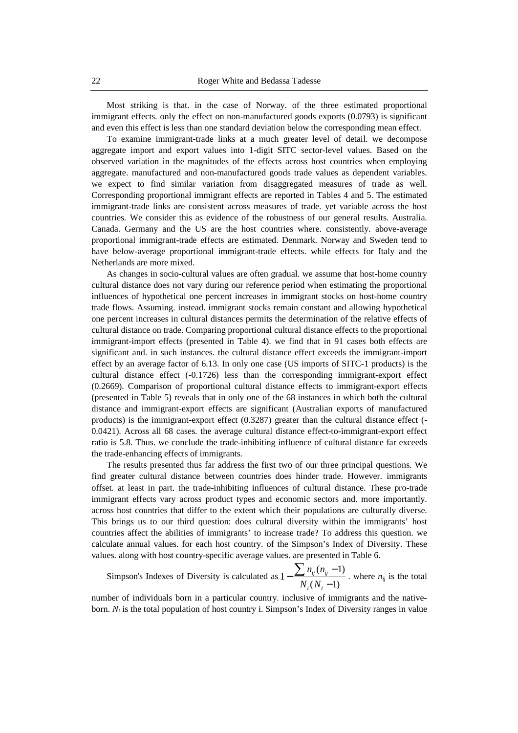Most striking is that. in the case of Norway. of the three estimated proportional immigrant effects. only the effect on non-manufactured goods exports (0.0793) is significant and even this effect is less than one standard deviation below the corresponding mean effect.

To examine immigrant-trade links at a much greater level of detail. we decompose aggregate import and export values into 1-digit SITC sector-level values. Based on the observed variation in the magnitudes of the effects across host countries when employing aggregate. manufactured and non-manufactured goods trade values as dependent variables. we expect to find similar variation from disaggregated measures of trade as well. Corresponding proportional immigrant effects are reported in Tables 4 and 5. The estimated immigrant-trade links are consistent across measures of trade. yet variable across the host countries. We consider this as evidence of the robustness of our general results. Australia. Canada. Germany and the US are the host countries where. consistently. above-average proportional immigrant-trade effects are estimated. Denmark. Norway and Sweden tend to have below-average proportional immigrant-trade effects. while effects for Italy and the Netherlands are more mixed.

As changes in socio-cultural values are often gradual. we assume that host-home country cultural distance does not vary during our reference period when estimating the proportional influences of hypothetical one percent increases in immigrant stocks on host-home country trade flows. Assuming. instead. immigrant stocks remain constant and allowing hypothetical one percent increases in cultural distances permits the determination of the relative effects of cultural distance on trade. Comparing proportional cultural distance effects to the proportional immigrant-import effects (presented in Table 4). we find that in 91 cases both effects are significant and. in such instances. the cultural distance effect exceeds the immigrant-import effect by an average factor of 6.13. In only one case (US imports of SITC-1 products) is the cultural distance effect (-0.1726) less than the corresponding immigrant-export effect (0.2669). Comparison of proportional cultural distance effects to immigrant-export effects (presented in Table 5) reveals that in only one of the 68 instances in which both the cultural distance and immigrant-export effects are significant (Australian exports of manufactured products) is the immigrant-export effect (0.3287) greater than the cultural distance effect (- 0.0421). Across all 68 cases. the average cultural distance effect-to-immigrant-export effect ratio is 5.8. Thus. we conclude the trade-inhibiting influence of cultural distance far exceeds the trade-enhancing effects of immigrants.

The results presented thus far address the first two of our three principal questions. We find greater cultural distance between countries does hinder trade. However. immigrants offset. at least in part. the trade-inhibiting influences of cultural distance. These pro-trade immigrant effects vary across product types and economic sectors and. more importantly. across host countries that differ to the extent which their populations are culturally diverse. This brings us to our third question: does cultural diversity within the immigrants' host countries affect the abilities of immigrants' to increase trade? To address this question. we calculate annual values. for each host country. of the Simpson's Index of Diversity. These values. along with host country-specific average values. are presented in Table 6.

Simpson's Indexes of Diversity is calculated as  $1 - \frac{\sum_{i=1}^{n} y_i - y_i}{\sum_{i=1}^{n} y_i}$ . where  $n_{ij}$  is the total  $(N_i - 1)$  $(n_{ii} - 1)$ 1 −  $-\frac{\sum n_{ij} (n_{ij} - \sum n_{ij} n_{ij} - \sum n_{ij} n_{ij} + \sum n_{ij} n_{ij} + \sum n_{ij} n_{ij} + \sum n_{ij} n_{ij} + \sum n_{ij} n_{ij} + \sum n_{ij} n_{ij} + \sum n_{ij} n_{ij} + \sum n_{ij} n_{ij} + \sum n_{ij} n_{ij} + \sum n_{ij} n_{ij} + \sum n_{ij} n_{ij} + \sum n_{ij} n_{ij} + \sum n_{ij} n_{ij} + \sum n_{ij} n_{ij} + \sum n_{ij} n_{ij} + \sum n_{ij} n_{ij} + \sum n_{ij} n_{ij} + \sum n_{ij} n_{$ *i i ij ij*  $N_i(N)$  $n_{ii}$  $(n$ 

number of individuals born in a particular country. inclusive of immigrants and the nativeborn.  $N_i$  is the total population of host country i. Simpson's Index of Diversity ranges in value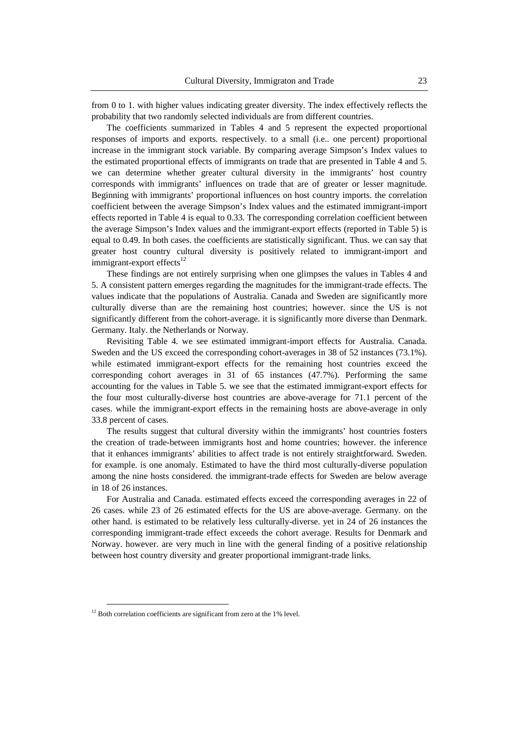from 0 to 1. with higher values indicating greater diversity. The index effectively reflects the probability that two randomly selected individuals are from different countries.

The coefficients summarized in Tables 4 and 5 represent the expected proportional responses of imports and exports. respectively. to a small (i.e.. one percent) proportional increase in the immigrant stock variable. By comparing average Simpson's Index values to the estimated proportional effects of immigrants on trade that are presented in Table 4 and 5. we can determine whether greater cultural diversity in the immigrants' host country corresponds with immigrants' influences on trade that are of greater or lesser magnitude. Beginning with immigrants' proportional influences on host country imports. the correlation coefficient between the average Simpson's Index values and the estimated immigrant-import effects reported in Table 4 is equal to 0.33. The corresponding correlation coefficient between the average Simpson's Index values and the immigrant-export effects (reported in Table 5) is equal to 0.49. In both cases. the coefficients are statistically significant. Thus. we can say that greater host country cultural diversity is positively related to immigrant-import and immigrant-export effects<sup>12</sup>

These findings are not entirely surprising when one glimpses the values in Tables 4 and 5. A consistent pattern emerges regarding the magnitudes for the immigrant-trade effects. The values indicate that the populations of Australia. Canada and Sweden are significantly more culturally diverse than are the remaining host countries; however. since the US is not significantly different from the cohort-average. it is significantly more diverse than Denmark. Germany. Italy. the Netherlands or Norway.

Revisiting Table 4. we see estimated immigrant-import effects for Australia. Canada. Sweden and the US exceed the corresponding cohort-averages in 38 of 52 instances (73.1%). while estimated immigrant-export effects for the remaining host countries exceed the corresponding cohort averages in 31 of 65 instances (47.7%). Performing the same accounting for the values in Table 5. we see that the estimated immigrant-export effects for the four most culturally-diverse host countries are above-average for 71.1 percent of the cases. while the immigrant-export effects in the remaining hosts are above-average in only 33.8 percent of cases.

The results suggest that cultural diversity within the immigrants' host countries fosters the creation of trade-between immigrants host and home countries; however. the inference that it enhances immigrants' abilities to affect trade is not entirely straightforward. Sweden. for example. is one anomaly. Estimated to have the third most culturally-diverse population among the nine hosts considered. the immigrant-trade effects for Sweden are below average in 18 of 26 instances.

For Australia and Canada. estimated effects exceed the corresponding averages in 22 of 26 cases. while 23 of 26 estimated effects for the US are above-average. Germany. on the other hand. is estimated to be relatively less culturally-diverse. yet in 24 of 26 instances the corresponding immigrant-trade effect exceeds the cohort average. Results for Denmark and Norway. however. are very much in line with the general finding of a positive relationship between host country diversity and greater proportional immigrant-trade links.

 $12$  Both correlation coefficients are significant from zero at the 1% level.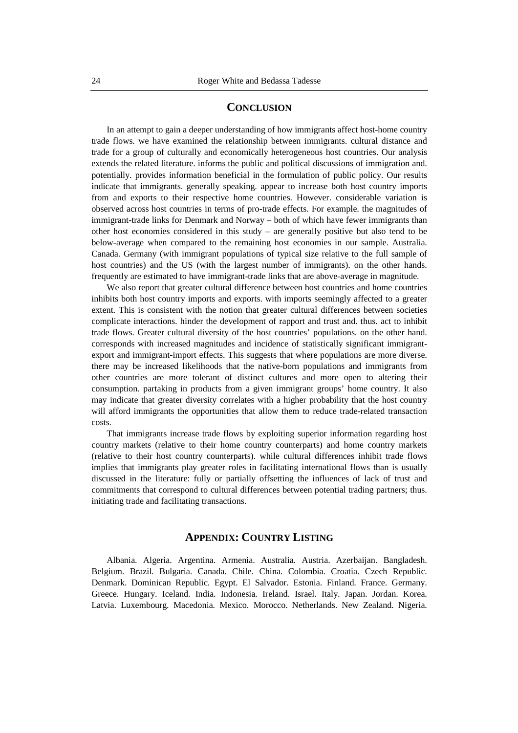#### **CONCLUSION**

In an attempt to gain a deeper understanding of how immigrants affect host-home country trade flows. we have examined the relationship between immigrants. cultural distance and trade for a group of culturally and economically heterogeneous host countries. Our analysis extends the related literature. informs the public and political discussions of immigration and. potentially. provides information beneficial in the formulation of public policy. Our results indicate that immigrants. generally speaking. appear to increase both host country imports from and exports to their respective home countries. However. considerable variation is observed across host countries in terms of pro-trade effects. For example. the magnitudes of immigrant-trade links for Denmark and Norway – both of which have fewer immigrants than other host economies considered in this study – are generally positive but also tend to be below-average when compared to the remaining host economies in our sample. Australia. Canada. Germany (with immigrant populations of typical size relative to the full sample of host countries) and the US (with the largest number of immigrants). on the other hands. frequently are estimated to have immigrant-trade links that are above-average in magnitude.

We also report that greater cultural difference between host countries and home countries inhibits both host country imports and exports. with imports seemingly affected to a greater extent. This is consistent with the notion that greater cultural differences between societies complicate interactions. hinder the development of rapport and trust and. thus. act to inhibit trade flows. Greater cultural diversity of the host countries' populations. on the other hand. corresponds with increased magnitudes and incidence of statistically significant immigrantexport and immigrant-import effects. This suggests that where populations are more diverse. there may be increased likelihoods that the native-born populations and immigrants from other countries are more tolerant of distinct cultures and more open to altering their consumption. partaking in products from a given immigrant groups' home country. It also may indicate that greater diversity correlates with a higher probability that the host country will afford immigrants the opportunities that allow them to reduce trade-related transaction costs.

That immigrants increase trade flows by exploiting superior information regarding host country markets (relative to their home country counterparts) and home country markets (relative to their host country counterparts). while cultural differences inhibit trade flows implies that immigrants play greater roles in facilitating international flows than is usually discussed in the literature: fully or partially offsetting the influences of lack of trust and commitments that correspond to cultural differences between potential trading partners; thus. initiating trade and facilitating transactions.

#### **APPENDIX: COUNTRY LISTING**

Albania. Algeria. Argentina. Armenia. Australia. Austria. Azerbaijan. Bangladesh. Belgium. Brazil. Bulgaria. Canada. Chile. China. Colombia. Croatia. Czech Republic. Denmark. Dominican Republic. Egypt. El Salvador. Estonia. Finland. France. Germany. Greece. Hungary. Iceland. India. Indonesia. Ireland. Israel. Italy. Japan. Jordan. Korea. Latvia. Luxembourg. Macedonia. Mexico. Morocco. Netherlands. New Zealand. Nigeria.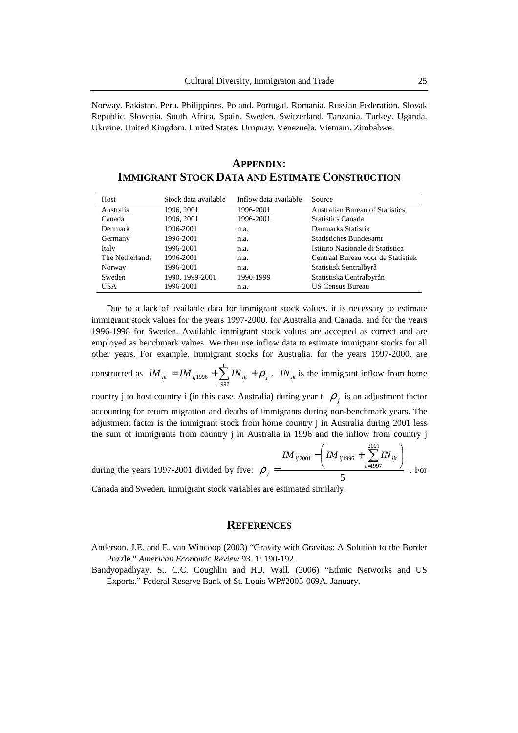Norway. Pakistan. Peru. Philippines. Poland. Portugal. Romania. Russian Federation. Slovak Republic. Slovenia. South Africa. Spain. Sweden. Switzerland. Tanzania. Turkey. Uganda. Ukraine. United Kingdom. United States. Uruguay. Venezuela. Vietnam. Zimbabwe.

| <b>IMMIGRANT STOCK DATA AND ESTIMATE CONSTRUCTION</b> |                      |                       |                                        |
|-------------------------------------------------------|----------------------|-----------------------|----------------------------------------|
| Host                                                  | Stock data available | Inflow data available | Source                                 |
| Australia                                             | 1996, 2001           | 1996-2001             | <b>Australian Bureau of Statistics</b> |
| Canada                                                | 1996, 2001           | 1996-2001             | <b>Statistics Canada</b>               |
| Denmark                                               | 1996-2001            | n.a.                  | Danmarks Statistik                     |
| Germany                                               | 1996-2001            | n.a.                  | <b>Statistiches Bundesamt</b>          |
| Italy                                                 | 1996-2001            | n.a.                  | Istituto Nazionale di Statistica       |

The Netherlands 1996-2001 n.a. Centraal Bureau voor de Statistiek

Norway 1996-2001 n.a. Statistisk Sentralbyrå Sweden 1990, 1999-2001 1990-1999 Statistiska Centralbyrån USA 1996-2001 n.a. US Census Bureau

**APPENDIX: IMMIGRANT STOCK DATA AND ESTIMATE CONSTRUCTION**

Due to a lack of available data for immigrant stock values. it is necessary to estimate immigrant stock values for the years 1997-2000. for Australia and Canada. and for the years 1996-1998 for Sweden. Available immigrant stock values are accepted as correct and are employed as benchmark values. We then use inflow data to estimate immigrant stocks for all other years. For example. immigrant stocks for Australia. for the years 1997-2000. are

constructed as  $IM_{ijt} = IM_{ij1996} + \sum_{i=1}^{t} IN_{ijt} + \rho_j$ . *IN*<sub>ijt</sub> is the immigrant inflow from home  $IM_{ijt} = IM_{ij1996} + \sum IN_{ijt} + \rho$ 1997  $_{1996}$  +  $\sum$   $IN_{ijt}$  +  $\rho$   $_{j}$  .  $IN_{ijt}$ 

country j to host country i (in this case. Australia) during year t.  $\rho_j$  is an adjustment factor accounting for return migration and deaths of immigrants during non-benchmark years. The adjustment factor is the immigrant stock from home country j in Australia during 2001 less the sum of immigrants from country j in Australia in 1996 and the inflow from country j

during the years 1997-2001 divided by five: 
$$
\rho_j = \frac{IM_{ij2001} - \left( IM_{ij1996} + \sum_{t=1997}^{2001} IN_{ijt}\right)}{5}
$$
. For

Canada and Sweden. immigrant stock variables are estimated similarly.

#### **REFERENCES**

Anderson. J.E. and E. van Wincoop (2003) "Gravity with Gravitas: A Solution to the Border Puzzle." *American Economic Review* 93. 1: 190-192.

Bandyopadhyay. S.. C.C. Coughlin and H.J. Wall. (2006) "Ethnic Networks and US Exports." Federal Reserve Bank of St. Louis WP#2005-069A. January.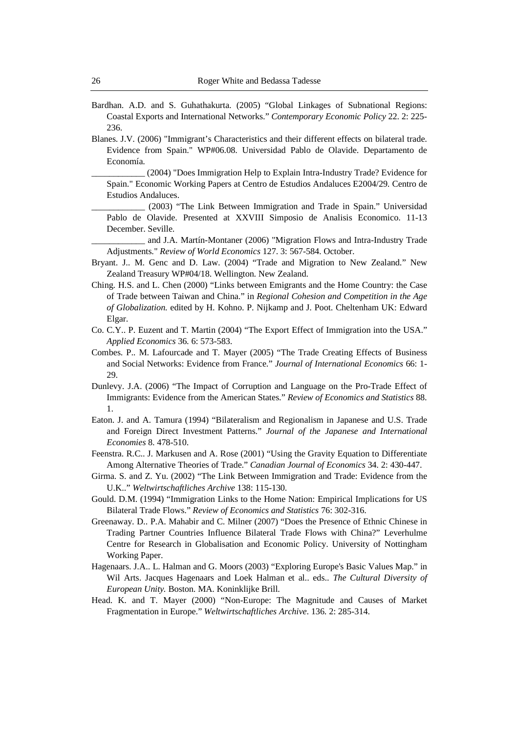- Bardhan. A.D. and S. Guhathakurta. (2005) "Global Linkages of Subnational Regions: Coastal Exports and International Networks." *Contemporary Economic Policy* 22. 2: 225- 236.
- Blanes. J.V. (2006) "Immigrant's Characteristics and their different effects on bilateral trade. Evidence from Spain." WP#06.08. Universidad Pablo de Olavide. Departamento de Economía.

\_\_\_\_\_\_\_\_\_\_\_\_ (2004) "Does Immigration Help to Explain Intra-Industry Trade? Evidence for Spain." Economic Working Papers at Centro de Estudios Andaluces E2004/29. Centro de Estudios Andaluces.

\_\_\_\_\_\_\_\_\_\_\_\_ (2003) "The Link Between Immigration and Trade in Spain." Universidad Pablo de Olavide. Presented at XXVIII Simposio de Analisis Economico. 11-13 December. Seville.

and J.A. Martín-Montaner (2006) "Migration Flows and Intra-Industry Trade Adjustments." *Review of World Economics* 127. 3: 567-584. October.

- Bryant. J.. M. Genc and D. Law. (2004) "Trade and Migration to New Zealand." New Zealand Treasury WP#04/18. Wellington. New Zealand.
- Ching. H.S. and L. Chen (2000) "Links between Emigrants and the Home Country: the Case of Trade between Taiwan and China." in *Regional Cohesion and Competition in the Age of Globalization.* edited by H. Kohno. P. Nijkamp and J. Poot. Cheltenham UK: Edward Elgar.
- Co. C.Y.. P. Euzent and T. Martin (2004) "The Export Effect of Immigration into the USA." *Applied Economics* 36. 6: 573-583.
- Combes. P.. M. Lafourcade and T. Mayer (2005) "The Trade Creating Effects of Business and Social Networks: Evidence from France." *Journal of International Economics* 66: 1- 29.
- Dunlevy. J.A. (2006) "The Impact of Corruption and Language on the Pro-Trade Effect of Immigrants: Evidence from the American States." *Review of Economics and Statistics* 88. 1.
- Eaton. J. and A. Tamura (1994) "Bilateralism and Regionalism in Japanese and U.S. Trade and Foreign Direct Investment Patterns." *Journal of the Japanese and International Economies* 8. 478-510.
- Feenstra. R.C.. J. Markusen and A. Rose (2001) "Using the Gravity Equation to Differentiate Among Alternative Theories of Trade." *Canadian Journal of Economics* 34. 2: 430-447.
- Girma. S. and Z. Yu. (2002) "The Link Between Immigration and Trade: Evidence from the U.K.." *Weltwirtschaftliches Archive* 138: 115-130.
- Gould. D.M. (1994) "Immigration Links to the Home Nation: Empirical Implications for US Bilateral Trade Flows." *Review of Economics and Statistics* 76: 302-316.
- Greenaway. D.. P.A. Mahabir and C. Milner (2007) "Does the Presence of Ethnic Chinese in Trading Partner Countries Influence Bilateral Trade Flows with China?" Leverhulme Centre for Research in Globalisation and Economic Policy. University of Nottingham Working Paper.
- Hagenaars. J.A.. L. Halman and G. Moors (2003) "Exploring Europe's Basic Values Map." in Wil Arts. Jacques Hagenaars and Loek Halman et al.. eds.. *The Cultural Diversity of European Unity.* Boston. MA. Koninklijke Brill.
- Head. K. and T. Mayer (2000) "Non-Europe: The Magnitude and Causes of Market Fragmentation in Europe." *Weltwirtschaftliches Archive*. 136. 2: 285-314.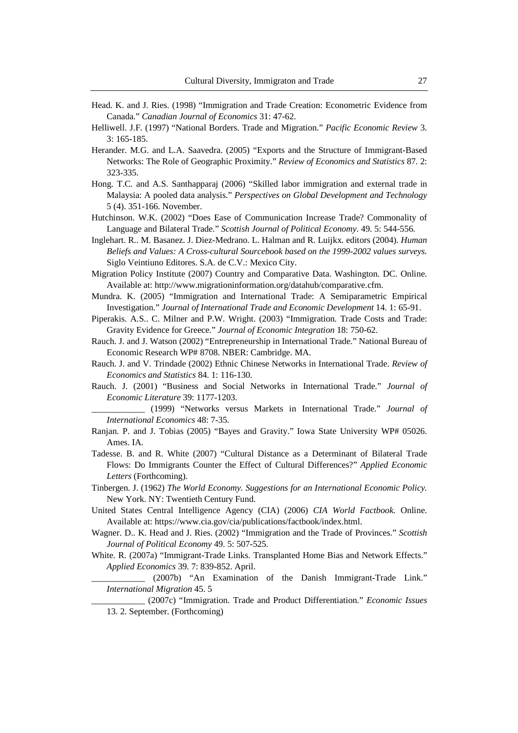- Head. K. and J. Ries. (1998) "Immigration and Trade Creation: Econometric Evidence from Canada." *Canadian Journal of Economics* 31: 47-62.
- Helliwell. J.F. (1997) "National Borders. Trade and Migration." *Pacific Economic Review* 3. 3: 165-185.
- Herander. M.G. and L.A. Saavedra. (2005) "Exports and the Structure of Immigrant-Based Networks: The Role of Geographic Proximity." *Review of Economics and Statistics* 87. 2: 323-335.
- Hong. T.C. and A.S. Santhapparaj (2006) "Skilled labor immigration and external trade in Malaysia: A pooled data analysis." *Perspectives on Global Development and Technology* 5 (4). 351-166. November.
- Hutchinson. W.K. (2002) "Does Ease of Communication Increase Trade? Commonality of Language and Bilateral Trade." *Scottish Journal of Political Economy*. 49. 5: 544-556.
- Inglehart. R.. M. Basanez. J. Diez-Medrano. L. Halman and R. Luijkx. editors (2004). *Human Beliefs and Values: A Cross-cultural Sourcebook based on the 1999-2002 values surveys.* Siglo Veintiuno Editores. S.A. de C.V.: Mexico City.
- Migration Policy Institute (2007) Country and Comparative Data. Washington. DC. Online. Available at: http://www.migrationinformation.org/datahub/comparative.cfm.
- Mundra. K. (2005) "Immigration and International Trade: A Semiparametric Empirical Investigation." *Journal of International Trade and Economic Development* 14. 1: 65-91.
- Piperakis. A.S.. C. Milner and P.W. Wright. (2003) "Immigration. Trade Costs and Trade: Gravity Evidence for Greece." *Journal of Economic Integration* 18: 750-62.
- Rauch. J. and J. Watson (2002) "Entrepreneurship in International Trade." National Bureau of Economic Research WP# 8708. NBER: Cambridge. MA.
- Rauch. J. and V. Trindade (2002) Ethnic Chinese Networks in International Trade. *Review of Economics and Statistics* 84. 1: 116-130.
- Rauch. J. (2001) "Business and Social Networks in International Trade." *Journal of Economic Literature* 39: 1177-1203.

\_\_\_\_\_\_\_\_\_\_\_\_ (1999) "Networks versus Markets in International Trade." *Journal of International Economics* 48: 7-35.

- Ranjan. P. and J. Tobias (2005) "Bayes and Gravity." Iowa State University WP# 05026. Ames. IA.
- Tadesse. B. and R. White (2007) "Cultural Distance as a Determinant of Bilateral Trade Flows: Do Immigrants Counter the Effect of Cultural Differences?" *Applied Economic Letters* (Forthcoming).
- Tinbergen. J. (1962) *The World Economy. Suggestions for an International Economic Policy.* New York. NY: Twentieth Century Fund.
- United States Central Intelligence Agency (CIA) (2006) *CIA World Factbook.* Online. Available at: https://www.cia.gov/cia/publications/factbook/index.html.
- Wagner. D.. K. Head and J. Ries. (2002) "Immigration and the Trade of Provinces." *Scottish Journal of Political Economy* 49. 5: 507-525.
- White. R. (2007a) "Immigrant-Trade Links. Transplanted Home Bias and Network Effects." *Applied Economics* 39. 7: 839-852. April.

\_\_\_\_\_\_\_\_\_\_\_\_ (2007b) "An Examination of the Danish Immigrant-Trade Link." *International Migration* 45. 5

\_\_\_\_\_\_\_\_\_\_\_\_ (2007c) "Immigration. Trade and Product Differentiation." *Economic Issues*  13. 2. September. (Forthcoming)